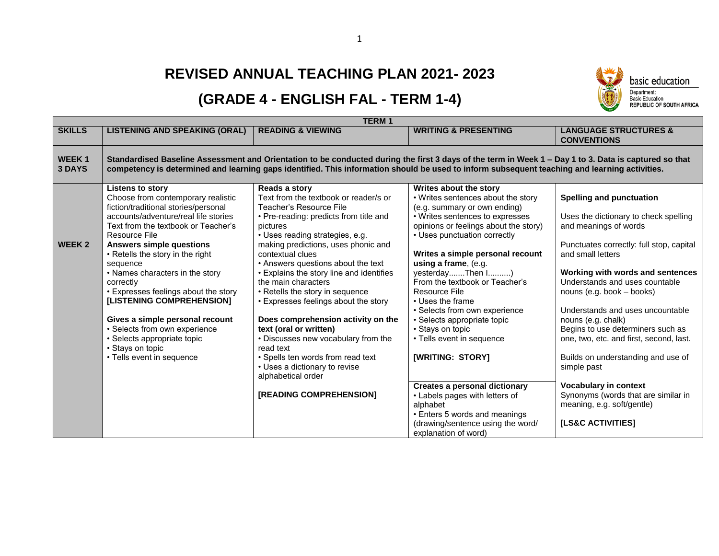## **REVISED ANNUAL TEACHING PLAN 2021- 2023**

## **(GRADE 4 - ENGLISH FAL - TERM 1-4)**

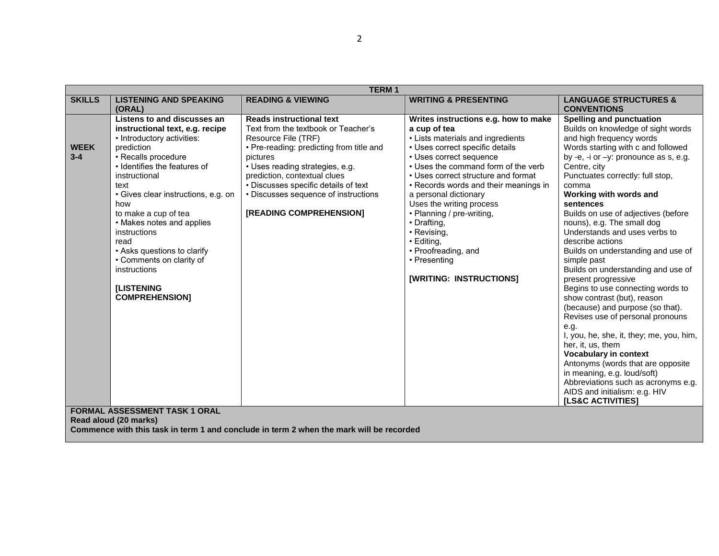| <b>TERM1</b>           |                                                                                                                                                                                                                                                                                                                                                                                                                                                |                                                                                                                                                                                                                                                                                                                                     |                                                                                                                                                                                                                                                                                                                                                                                                                                                                                       |                                                                                                                                                                                                                                                                                                                                                                                                                                                                                                                                                                                                                                                                                                                                                                                                                                                                                                                                                               |
|------------------------|------------------------------------------------------------------------------------------------------------------------------------------------------------------------------------------------------------------------------------------------------------------------------------------------------------------------------------------------------------------------------------------------------------------------------------------------|-------------------------------------------------------------------------------------------------------------------------------------------------------------------------------------------------------------------------------------------------------------------------------------------------------------------------------------|---------------------------------------------------------------------------------------------------------------------------------------------------------------------------------------------------------------------------------------------------------------------------------------------------------------------------------------------------------------------------------------------------------------------------------------------------------------------------------------|---------------------------------------------------------------------------------------------------------------------------------------------------------------------------------------------------------------------------------------------------------------------------------------------------------------------------------------------------------------------------------------------------------------------------------------------------------------------------------------------------------------------------------------------------------------------------------------------------------------------------------------------------------------------------------------------------------------------------------------------------------------------------------------------------------------------------------------------------------------------------------------------------------------------------------------------------------------|
| <b>SKILLS</b>          | <b>LISTENING AND SPEAKING</b><br>(ORAL)                                                                                                                                                                                                                                                                                                                                                                                                        | <b>READING &amp; VIEWING</b>                                                                                                                                                                                                                                                                                                        | <b>WRITING &amp; PRESENTING</b>                                                                                                                                                                                                                                                                                                                                                                                                                                                       | <b>LANGUAGE STRUCTURES &amp;</b><br><b>CONVENTIONS</b>                                                                                                                                                                                                                                                                                                                                                                                                                                                                                                                                                                                                                                                                                                                                                                                                                                                                                                        |
| <b>WEEK</b><br>$3 - 4$ | Listens to and discusses an<br>instructional text, e.g. recipe<br>• Introductory activities:<br>prediction<br>• Recalls procedure<br>• Identifies the features of<br>instructional<br>text<br>· Gives clear instructions, e.g. on<br>how<br>to make a cup of tea<br>• Makes notes and applies<br>instructions<br>read<br>• Asks questions to clarify<br>• Comments on clarity of<br>instructions<br><b>[LISTENING</b><br><b>COMPREHENSION]</b> | <b>Reads instructional text</b><br>Text from the textbook or Teacher's<br>Resource File (TRF)<br>• Pre-reading: predicting from title and<br>pictures<br>· Uses reading strategies, e.g.<br>prediction, contextual clues<br>• Discusses specific details of text<br>• Discusses sequence of instructions<br>[READING COMPREHENSION] | Writes instructions e.g. how to make<br>a cup of tea<br>• Lists materials and ingredients<br>• Uses correct specific details<br>• Uses correct sequence<br>• Uses the command form of the verb<br>• Uses correct structure and format<br>• Records words and their meanings in<br>a personal dictionary<br>Uses the writing process<br>• Planning / pre-writing,<br>• Drafting,<br>• Revising,<br>• Editing,<br>• Proofreading, and<br>• Presenting<br><b>[WRITING: INSTRUCTIONS]</b> | Spelling and punctuation<br>Builds on knowledge of sight words<br>and high frequency words<br>Words starting with c and followed<br>by -e, -i or $-y$ : pronounce as s, e.g.<br>Centre, city<br>Punctuates correctly: full stop,<br>comma<br>Working with words and<br>sentences<br>Builds on use of adjectives (before<br>nouns), e.g. The small dog<br>Understands and uses verbs to<br>describe actions<br>Builds on understanding and use of<br>simple past<br>Builds on understanding and use of<br>present progressive<br>Begins to use connecting words to<br>show contrast (but), reason<br>(because) and purpose (so that).<br>Revises use of personal pronouns<br>e.g.<br>I, you, he, she, it, they; me, you, him,<br>her, it, us, them<br><b>Vocabulary in context</b><br>Antonyms (words that are opposite<br>in meaning, e.g. loud/soft)<br>Abbreviations such as acronyms e.g.<br>AIDS and initialism: e.g. HIV<br><b>[LS&amp;C ACTIVITIES]</b> |
|                        | <b>FORMAL ASSESSMENT TASK 1 ORAL</b><br>Read aloud (20 marks)                                                                                                                                                                                                                                                                                                                                                                                  | Commence with this task in term 1 and conclude in term 2 when the mark will be recorded                                                                                                                                                                                                                                             |                                                                                                                                                                                                                                                                                                                                                                                                                                                                                       |                                                                                                                                                                                                                                                                                                                                                                                                                                                                                                                                                                                                                                                                                                                                                                                                                                                                                                                                                               |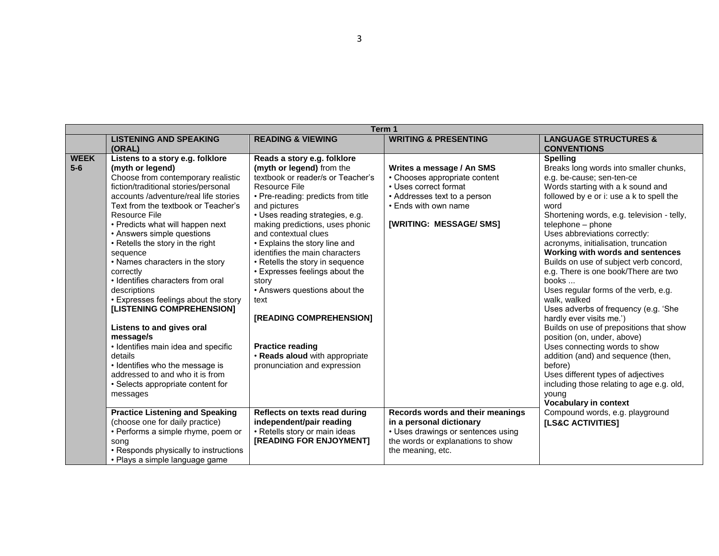| Term 1                                                                                                      |                                            |  |  |  |  |
|-------------------------------------------------------------------------------------------------------------|--------------------------------------------|--|--|--|--|
| <b>READING &amp; VIEWING</b><br><b>WRITING &amp; PRESENTING</b><br><b>LISTENING AND SPEAKING</b>            | <b>LANGUAGE STRUCTURES &amp;</b>           |  |  |  |  |
| (ORAL)                                                                                                      | <b>CONVENTIONS</b>                         |  |  |  |  |
| <b>WEEK</b><br>Listens to a story e.g. folklore<br>Reads a story e.g. folklore                              | <b>Spelling</b>                            |  |  |  |  |
| $5-6$<br>(myth or legend) from the<br>(myth or legend)<br>Writes a message / An SMS                         | Breaks long words into smaller chunks,     |  |  |  |  |
| Choose from contemporary realistic<br>textbook or reader/s or Teacher's<br>• Chooses appropriate content    | e.g. be-cause; sen-ten-ce                  |  |  |  |  |
| fiction/traditional stories/personal<br>• Uses correct format<br>Resource File                              | Words starting with a k sound and          |  |  |  |  |
| accounts /adventure/real life stories<br>• Addresses text to a person<br>• Pre-reading: predicts from title | followed by e or i: use a k to spell the   |  |  |  |  |
| Text from the textbook or Teacher's<br>• Ends with own name<br>and pictures<br>word                         |                                            |  |  |  |  |
| • Uses reading strategies, e.g.<br>Resource File                                                            | Shortening words, e.g. television - telly, |  |  |  |  |
| [WRITING: MESSAGE/ SMS]<br>• Predicts what will happen next<br>making predictions, uses phonic              | telephone - phone                          |  |  |  |  |
| • Answers simple questions<br>and contextual clues                                                          | Uses abbreviations correctly:              |  |  |  |  |
| • Explains the story line and<br>• Retells the story in the right                                           | acronyms, initialisation, truncation       |  |  |  |  |
| identifies the main characters<br>sequence                                                                  | Working with words and sentences           |  |  |  |  |
| • Names characters in the story<br>• Retells the story in sequence                                          | Builds on use of subject verb concord,     |  |  |  |  |
| • Expresses feelings about the<br>correctly                                                                 | e.g. There is one book/There are two       |  |  |  |  |
| • Identifies characters from oral<br>story                                                                  | books                                      |  |  |  |  |
| • Answers questions about the<br>descriptions                                                               | Uses regular forms of the verb, e.g.       |  |  |  |  |
| • Expresses feelings about the story<br>text                                                                | walk, walked                               |  |  |  |  |
| [LISTENING COMPREHENSION]                                                                                   | Uses adverbs of frequency (e.g. 'She       |  |  |  |  |
| [READING COMPREHENSION]                                                                                     | hardly ever visits me.')                   |  |  |  |  |
| Listens to and gives oral                                                                                   | Builds on use of prepositions that show    |  |  |  |  |
| message/s                                                                                                   | position (on, under, above)                |  |  |  |  |
| <b>Practice reading</b><br>• Identifies main idea and specific                                              | Uses connecting words to show              |  |  |  |  |
| details<br>. Reads aloud with appropriate                                                                   | addition (and) and sequence (then,         |  |  |  |  |
| • Identifies who the message is<br>pronunciation and expression<br>addressed to and who it is from          | before)                                    |  |  |  |  |
|                                                                                                             | Uses different types of adjectives         |  |  |  |  |
| • Selects appropriate content for                                                                           | including those relating to age e.g. old,  |  |  |  |  |
| messages                                                                                                    | young<br><b>Vocabulary in context</b>      |  |  |  |  |
| <b>Practice Listening and Speaking</b><br>Reflects on texts read during<br>Records words and their meanings | Compound words, e.g. playground            |  |  |  |  |
| independent/pair reading<br>in a personal dictionary<br>(choose one for daily practice)                     |                                            |  |  |  |  |
| • Retells story or main ideas<br>• Performs a simple rhyme, poem or<br>• Uses drawings or sentences using   | <b>[LS&amp;C ACTIVITIES]</b>               |  |  |  |  |
| [READING FOR ENJOYMENT]<br>the words or explanations to show                                                |                                            |  |  |  |  |
| song<br>• Responds physically to instructions<br>the meaning, etc.                                          |                                            |  |  |  |  |
| • Plays a simple language game                                                                              |                                            |  |  |  |  |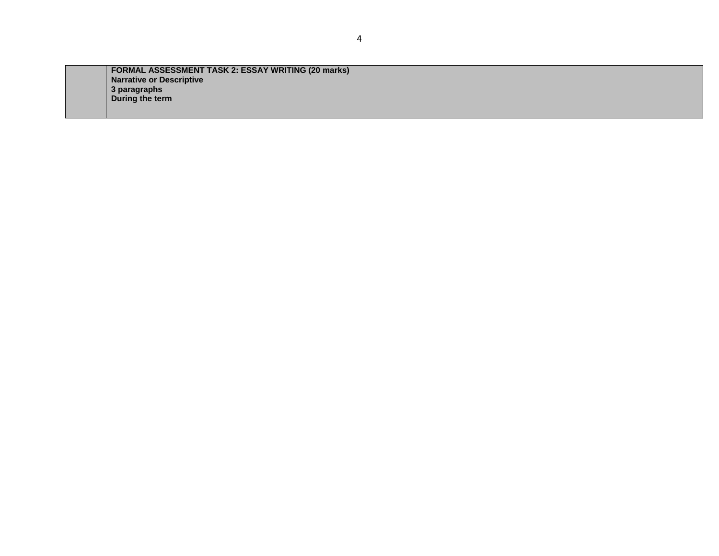**FORMAL ASSESSMENT TASK 2: ESSAY WRITING (20 marks) Narrative or Descriptive 3 paragraphs During the term**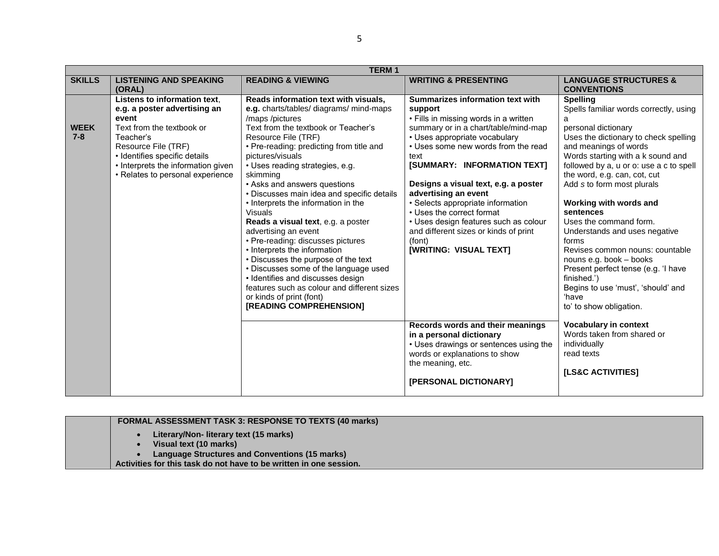|                        | <b>TERM1</b>                                                                                                                                                                                                                                      |                                                                                                                                                                                                                                                                                                                                                                                                                                                                                                                                                                                                                                                                                                                                                                                     |                                                                                                                                                                                                                                                                                                                                                                                                                                                                                                     |                                                                                                                                                                                                                                                                                                                                                                                                                                                                                                                                                                                                                |  |  |
|------------------------|---------------------------------------------------------------------------------------------------------------------------------------------------------------------------------------------------------------------------------------------------|-------------------------------------------------------------------------------------------------------------------------------------------------------------------------------------------------------------------------------------------------------------------------------------------------------------------------------------------------------------------------------------------------------------------------------------------------------------------------------------------------------------------------------------------------------------------------------------------------------------------------------------------------------------------------------------------------------------------------------------------------------------------------------------|-----------------------------------------------------------------------------------------------------------------------------------------------------------------------------------------------------------------------------------------------------------------------------------------------------------------------------------------------------------------------------------------------------------------------------------------------------------------------------------------------------|----------------------------------------------------------------------------------------------------------------------------------------------------------------------------------------------------------------------------------------------------------------------------------------------------------------------------------------------------------------------------------------------------------------------------------------------------------------------------------------------------------------------------------------------------------------------------------------------------------------|--|--|
| <b>SKILLS</b>          | <b>LISTENING AND SPEAKING</b><br>(ORAL)                                                                                                                                                                                                           | <b>READING &amp; VIEWING</b>                                                                                                                                                                                                                                                                                                                                                                                                                                                                                                                                                                                                                                                                                                                                                        | <b>WRITING &amp; PRESENTING</b>                                                                                                                                                                                                                                                                                                                                                                                                                                                                     | <b>LANGUAGE STRUCTURES &amp;</b><br><b>CONVENTIONS</b>                                                                                                                                                                                                                                                                                                                                                                                                                                                                                                                                                         |  |  |
| <b>WEEK</b><br>$7 - 8$ | Listens to information text.<br>e.g. a poster advertising an<br>event<br>Text from the textbook or<br>Teacher's<br>Resource File (TRF)<br>· Identifies specific details<br>• Interprets the information given<br>• Relates to personal experience | Reads information text with visuals,<br>e.g. charts/tables/ diagrams/ mind-maps<br>/maps/pictures<br>Text from the textbook or Teacher's<br>Resource File (TRF)<br>• Pre-reading: predicting from title and<br>pictures/visuals<br>• Uses reading strategies, e.g.<br>skimming<br>• Asks and answers questions<br>• Discusses main idea and specific details<br>• Interprets the information in the<br><b>Visuals</b><br>Reads a visual text, e.g. a poster<br>advertising an event<br>• Pre-reading: discusses pictures<br>• Interprets the information<br>• Discusses the purpose of the text<br>• Discusses some of the language used<br>• Identifies and discusses design<br>features such as colour and different sizes<br>or kinds of print (font)<br>[READING COMPREHENSION] | Summarizes information text with<br>support<br>• Fills in missing words in a written<br>summary or in a chart/table/mind-map<br>• Uses appropriate vocabulary<br>• Uses some new words from the read<br>text<br>[SUMMARY: INFORMATION TEXT]<br>Designs a visual text, e.g. a poster<br>advertising an event<br>• Selects appropriate information<br>• Uses the correct format<br>• Uses design features such as colour<br>and different sizes or kinds of print<br>(font)<br>[WRITING: VISUAL TEXT] | <b>Spelling</b><br>Spells familiar words correctly, using<br>a<br>personal dictionary<br>Uses the dictionary to check spelling<br>and meanings of words<br>Words starting with a k sound and<br>followed by a, u or o: use a c to spell<br>the word, e.g. can, cot, cut<br>Add s to form most plurals<br>Working with words and<br>sentences<br>Uses the command form.<br>Understands and uses negative<br>forms<br>Revises common nouns: countable<br>nouns e.g. book - books<br>Present perfect tense (e.g. 'I have<br>finished.')<br>Begins to use 'must', 'should' and<br>'have<br>to' to show obligation. |  |  |
|                        |                                                                                                                                                                                                                                                   |                                                                                                                                                                                                                                                                                                                                                                                                                                                                                                                                                                                                                                                                                                                                                                                     | Records words and their meanings<br>in a personal dictionary<br>• Uses drawings or sentences using the<br>words or explanations to show<br>the meaning, etc.<br>[PERSONAL DICTIONARY]                                                                                                                                                                                                                                                                                                               | <b>Vocabulary in context</b><br>Words taken from shared or<br>individually<br>read texts<br>[LS&C ACTIVITIES]                                                                                                                                                                                                                                                                                                                                                                                                                                                                                                  |  |  |

| <b>FORMAL ASSESSMENT TASK 3: RESPONSE TO TEXTS (40 marks)</b>      |
|--------------------------------------------------------------------|
| Literary/Non-literary text (15 marks)                              |
| Visual text (10 marks)                                             |
| <b>Language Structures and Conventions (15 marks)</b>              |
| Activities for this task do not have to be written in one session. |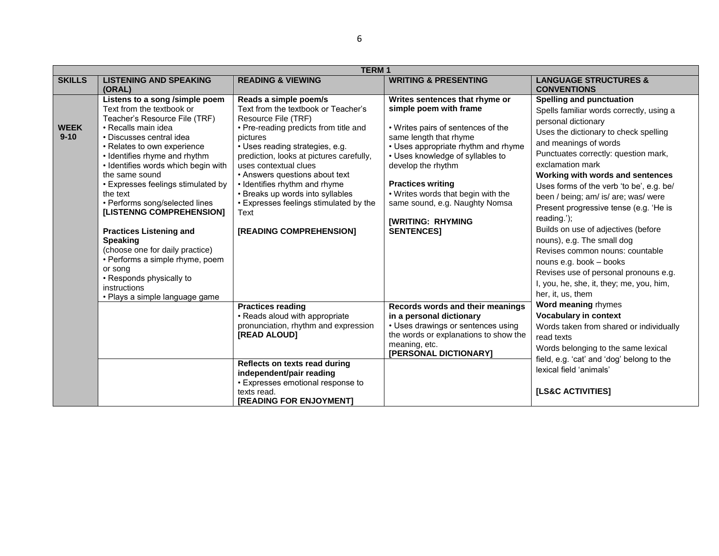|                         | <b>TERM1</b>                                                                                                                                                                                                                                                                                                                                                                                                                                                                                                                                                                                                 |                                                                                                                                                                                                                                                                                                                                                                                                                                      |                                                                                                                                                                                                                                                                                                                                                                                |                                                                                                                                                                                                                                                                                                                                                                                                                                                                                                                                                                                                                                                                |  |  |
|-------------------------|--------------------------------------------------------------------------------------------------------------------------------------------------------------------------------------------------------------------------------------------------------------------------------------------------------------------------------------------------------------------------------------------------------------------------------------------------------------------------------------------------------------------------------------------------------------------------------------------------------------|--------------------------------------------------------------------------------------------------------------------------------------------------------------------------------------------------------------------------------------------------------------------------------------------------------------------------------------------------------------------------------------------------------------------------------------|--------------------------------------------------------------------------------------------------------------------------------------------------------------------------------------------------------------------------------------------------------------------------------------------------------------------------------------------------------------------------------|----------------------------------------------------------------------------------------------------------------------------------------------------------------------------------------------------------------------------------------------------------------------------------------------------------------------------------------------------------------------------------------------------------------------------------------------------------------------------------------------------------------------------------------------------------------------------------------------------------------------------------------------------------------|--|--|
| <b>SKILLS</b>           | <b>LISTENING AND SPEAKING</b><br>(ORAL)                                                                                                                                                                                                                                                                                                                                                                                                                                                                                                                                                                      | <b>READING &amp; VIEWING</b>                                                                                                                                                                                                                                                                                                                                                                                                         | <b>WRITING &amp; PRESENTING</b>                                                                                                                                                                                                                                                                                                                                                | <b>LANGUAGE STRUCTURES &amp;</b><br><b>CONVENTIONS</b>                                                                                                                                                                                                                                                                                                                                                                                                                                                                                                                                                                                                         |  |  |
| <b>WEEK</b><br>$9 - 10$ | Listens to a song /simple poem<br>Text from the textbook or<br>Teacher's Resource File (TRF)<br>• Recalls main idea<br>· Discusses central idea<br>• Relates to own experience<br>• Identifies rhyme and rhythm<br>• Identifies words which begin with<br>the same sound<br>• Expresses feelings stimulated by<br>the text<br>• Performs song/selected lines<br>[LISTENNG COMPREHENSION]<br><b>Practices Listening and</b><br><b>Speaking</b><br>(choose one for daily practice)<br>• Performs a simple rhyme, poem<br>or song<br>• Responds physically to<br>instructions<br>• Plays a simple language game | Reads a simple poem/s<br>Text from the textbook or Teacher's<br>Resource File (TRF)<br>• Pre-reading predicts from title and<br>pictures<br>· Uses reading strategies, e.g.<br>prediction, looks at pictures carefully,<br>uses contextual clues<br>• Answers questions about text<br>• Identifies rhythm and rhyme<br>• Breaks up words into syllables<br>• Expresses feelings stimulated by the<br>Text<br>[READING COMPREHENSION] | Writes sentences that rhyme or<br>simple poem with frame<br>• Writes pairs of sentences of the<br>same length that rhyme<br>• Uses appropriate rhythm and rhyme<br>• Uses knowledge of syllables to<br>develop the rhythm<br><b>Practices writing</b><br>. Writes words that begin with the<br>same sound, e.g. Naughty Nomsa<br><b>[WRITING: RHYMING</b><br><b>SENTENCES1</b> | <b>Spelling and punctuation</b><br>Spells familiar words correctly, using a<br>personal dictionary<br>Uses the dictionary to check spelling<br>and meanings of words<br>Punctuates correctly: question mark,<br>exclamation mark<br>Working with words and sentences<br>Uses forms of the verb 'to be', e.g. be/<br>been / being; am/ is/ are; was/ were<br>Present progressive tense (e.g. 'He is<br>reading.');<br>Builds on use of adjectives (before<br>nouns), e.g. The small dog<br>Revises common nouns: countable<br>nouns e.g. book - books<br>Revises use of personal pronouns e.g.<br>I, you, he, she, it, they; me, you, him,<br>her, it, us, them |  |  |
|                         |                                                                                                                                                                                                                                                                                                                                                                                                                                                                                                                                                                                                              | <b>Practices reading</b><br>• Reads aloud with appropriate<br>pronunciation, rhythm and expression<br>[READ ALOUD]<br>Reflects on texts read during<br>independent/pair reading<br>• Expresses emotional response to<br>texts read.<br><b>IREADING FOR ENJOYMENTI</b>                                                                                                                                                                | Records words and their meanings<br>in a personal dictionary<br>• Uses drawings or sentences using<br>the words or explanations to show the<br>meaning, etc.<br>[PERSONAL DICTIONARY]                                                                                                                                                                                          | Word meaning rhymes<br>Vocabulary in context<br>Words taken from shared or individually<br>read texts<br>Words belonging to the same lexical<br>field, e.g. 'cat' and 'dog' belong to the<br>lexical field 'animals'<br>[LS&C ACTIVITIES]                                                                                                                                                                                                                                                                                                                                                                                                                      |  |  |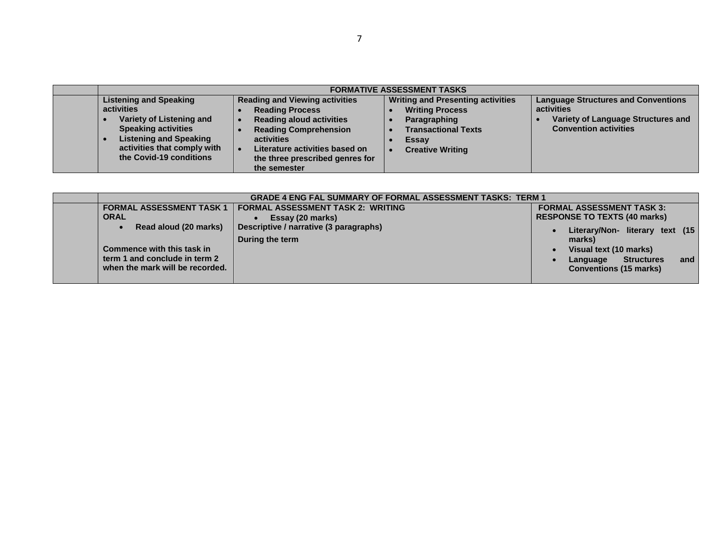|                                                                                                                                                                                                  | <b>FORMATIVE ASSESSMENT TASKS</b>                                                                                                                                                                                                     |                                                                                                                                                      |                                                                                                                                |  |  |  |
|--------------------------------------------------------------------------------------------------------------------------------------------------------------------------------------------------|---------------------------------------------------------------------------------------------------------------------------------------------------------------------------------------------------------------------------------------|------------------------------------------------------------------------------------------------------------------------------------------------------|--------------------------------------------------------------------------------------------------------------------------------|--|--|--|
| <b>Listening and Speaking</b><br>activities<br>Variety of Listening and<br><b>Speaking activities</b><br><b>Listening and Speaking</b><br>activities that comply with<br>the Covid-19 conditions | <b>Reading and Viewing activities</b><br><b>Reading Process</b><br><b>Reading aloud activities</b><br><b>Reading Comprehension</b><br>activities<br>Literature activities based on<br>the three prescribed genres for<br>the semester | <b>Writing and Presenting activities</b><br><b>Writing Process</b><br>Paragraphing<br><b>Transactional Texts</b><br>Essay<br><b>Creative Writing</b> | <b>Language Structures and Conventions</b><br>activities<br>Variety of Language Structures and<br><b>Convention activities</b> |  |  |  |

| <b>GRADE 4 ENG FAL SUMMARY OF FORMAL ASSESSMENT TASKS: TERM 1</b> |                                          |                                      |  |  |  |
|-------------------------------------------------------------------|------------------------------------------|--------------------------------------|--|--|--|
| <b>FORMAL ASSESSMENT TASK 1</b>                                   | <b>FORMAL ASSESSMENT TASK 2: WRITING</b> | <b>FORMAL ASSESSMENT TASK 3:</b>     |  |  |  |
| <b>ORAL</b>                                                       | Essay (20 marks)                         | <b>RESPONSE TO TEXTS (40 marks)</b>  |  |  |  |
| Read aloud (20 marks)                                             | Descriptive / narrative (3 paragraphs)   | Literary/Non- literary text (15      |  |  |  |
|                                                                   | During the term                          | marks)                               |  |  |  |
| Commence with this task in                                        |                                          | Visual text (10 marks)               |  |  |  |
| term 1 and conclude in term 2                                     |                                          | <b>Structures</b><br>and<br>Language |  |  |  |
| when the mark will be recorded.                                   |                                          | <b>Conventions (15 marks)</b>        |  |  |  |
|                                                                   |                                          |                                      |  |  |  |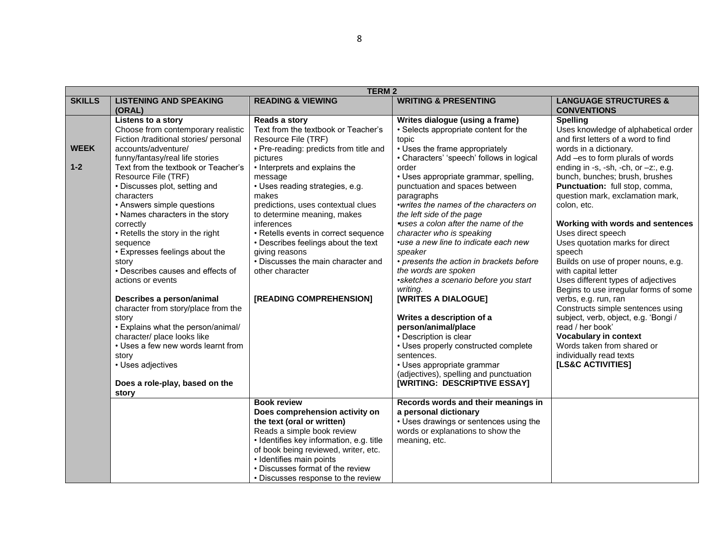|               | <b>TERM2</b>                               |                                                       |                                                 |                                                       |  |
|---------------|--------------------------------------------|-------------------------------------------------------|-------------------------------------------------|-------------------------------------------------------|--|
| <b>SKILLS</b> | <b>LISTENING AND SPEAKING</b>              | <b>READING &amp; VIEWING</b>                          | <b>WRITING &amp; PRESENTING</b>                 | <b>LANGUAGE STRUCTURES &amp;</b>                      |  |
|               | (ORAL)                                     |                                                       |                                                 | <b>CONVENTIONS</b>                                    |  |
|               | Listens to a story                         | Reads a story                                         | Writes dialogue (using a frame)                 | <b>Spelling</b>                                       |  |
|               | Choose from contemporary realistic         | Text from the textbook or Teacher's                   | • Selects appropriate content for the           | Uses knowledge of alphabetical order                  |  |
|               | Fiction /traditional stories/ personal     | Resource File (TRF)                                   | topic                                           | and first letters of a word to find                   |  |
| <b>WEEK</b>   | accounts/adventure/                        | • Pre-reading: predicts from title and                | • Uses the frame appropriately                  | words in a dictionary.                                |  |
|               | funny/fantasy/real life stories            | pictures                                              | • Characters' 'speech' follows in logical       | Add -es to form plurals of words                      |  |
| $1 - 2$       | Text from the textbook or Teacher's        | • Interprets and explains the                         | order                                           | ending in -s, -sh, -ch, or $-z$ ; e.g.                |  |
|               | Resource File (TRF)                        | message                                               | • Uses appropriate grammar, spelling,           | bunch, bunches; brush, brushes                        |  |
|               | • Discusses plot, setting and              | • Uses reading strategies, e.g.                       | punctuation and spaces between                  | <b>Punctuation:</b> full stop, comma,                 |  |
|               | characters                                 | makes                                                 | paragraphs                                      | question mark, exclamation mark,                      |  |
|               | • Answers simple questions                 | predictions, uses contextual clues                    | • writes the names of the characters on         | colon, etc.                                           |  |
|               | • Names characters in the story            | to determine meaning, makes                           | the left side of the page                       |                                                       |  |
|               | correctly                                  | inferences                                            | •uses a colon after the name of the             | Working with words and sentences                      |  |
|               | • Retells the story in the right           | • Retells events in correct sequence                  | character who is speaking                       | Uses direct speech<br>Uses quotation marks for direct |  |
|               | sequence<br>• Expresses feelings about the | • Describes feelings about the text<br>giving reasons | •use a new line to indicate each new<br>speaker | speech                                                |  |
|               | story                                      | • Discusses the main character and                    | • presents the action in brackets before        | Builds on use of proper nouns, e.g.                   |  |
|               | • Describes causes and effects of          | other character                                       | the words are spoken                            | with capital letter                                   |  |
|               | actions or events                          |                                                       | *sketches a scenario before you start           | Uses different types of adjectives                    |  |
|               |                                            |                                                       | writing.                                        | Begins to use irregular forms of some                 |  |
|               | Describes a person/animal                  | [READING COMPREHENSION]                               | [WRITES A DIALOGUE]                             | verbs, e.g. run, ran                                  |  |
|               | character from story/place from the        |                                                       |                                                 | Constructs simple sentences using                     |  |
|               | story                                      |                                                       | Writes a description of a                       | subject, verb, object, e.g. 'Bongi /                  |  |
|               | • Explains what the person/animal/         |                                                       | person/animal/place                             | read / her book'                                      |  |
|               | character/ place looks like                |                                                       | • Description is clear                          | <b>Vocabulary in context</b>                          |  |
|               | • Uses a few new words learnt from         |                                                       | • Uses properly constructed complete            | Words taken from shared or                            |  |
|               | story                                      |                                                       | sentences.                                      | individually read texts                               |  |
|               | • Uses adjectives                          |                                                       | • Uses appropriate grammar                      | [LS&C ACTIVITIES]                                     |  |
|               |                                            |                                                       | (adjectives), spelling and punctuation          |                                                       |  |
|               | Does a role-play, based on the             |                                                       | [WRITING: DESCRIPTIVE ESSAY]                    |                                                       |  |
|               | story                                      |                                                       |                                                 |                                                       |  |
|               |                                            | <b>Book review</b>                                    | Records words and their meanings in             |                                                       |  |
|               |                                            | Does comprehension activity on                        | a personal dictionary                           |                                                       |  |
|               |                                            | the text (oral or written)                            | • Uses drawings or sentences using the          |                                                       |  |
|               |                                            | Reads a simple book review                            | words or explanations to show the               |                                                       |  |
|               |                                            | · Identifies key information, e.g. title              | meaning, etc.                                   |                                                       |  |
|               |                                            | of book being reviewed, writer, etc.                  |                                                 |                                                       |  |
|               |                                            | • Identifies main points                              |                                                 |                                                       |  |
|               |                                            | • Discusses format of the review                      |                                                 |                                                       |  |
|               |                                            | • Discusses response to the review                    |                                                 |                                                       |  |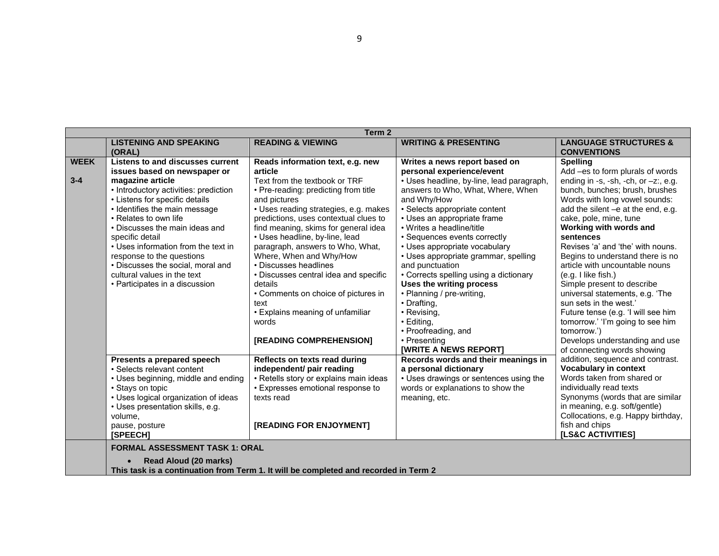|             | Term 2                                                           |                                                                                      |                                                           |                                                                    |  |
|-------------|------------------------------------------------------------------|--------------------------------------------------------------------------------------|-----------------------------------------------------------|--------------------------------------------------------------------|--|
|             | <b>LISTENING AND SPEAKING</b><br>(ORAL)                          | <b>READING &amp; VIEWING</b>                                                         | <b>WRITING &amp; PRESENTING</b>                           | <b>LANGUAGE STRUCTURES &amp;</b><br><b>CONVENTIONS</b>             |  |
| <b>WEEK</b> | Listens to and discusses current                                 | Reads information text, e.g. new                                                     | Writes a news report based on                             | <b>Spelling</b>                                                    |  |
|             | issues based on newspaper or                                     | article                                                                              | personal experience/event                                 | Add -es to form plurals of words                                   |  |
| $3 - 4$     | magazine article                                                 | Text from the textbook or TRF                                                        | • Uses headline, by-line, lead paragraph,                 | ending in -s, -sh, -ch, or $-z$ ; e.g.                             |  |
|             | • Introductory activities: prediction                            | • Pre-reading: predicting from title                                                 | answers to Who, What, Where, When                         | bunch, bunches; brush, brushes                                     |  |
|             | • Listens for specific details                                   | and pictures                                                                         | and Why/How                                               | Words with long vowel sounds:                                      |  |
|             | • Identifies the main message                                    | • Uses reading strategies, e.g. makes                                                | • Selects appropriate content                             | add the silent -e at the end, e.g.                                 |  |
|             | • Relates to own life                                            | predictions, uses contextual clues to                                                | • Uses an appropriate frame                               | cake, pole, mine, tune                                             |  |
|             | • Discusses the main ideas and                                   | find meaning, skims for general idea                                                 | • Writes a headline/title                                 | Working with words and                                             |  |
|             | specific detail                                                  | • Uses headline, by-line, lead                                                       | • Sequences events correctly                              | sentences                                                          |  |
|             | • Uses information from the text in                              | paragraph, answers to Who, What,                                                     | • Uses appropriate vocabulary                             | Revises 'a' and 'the' with nouns.                                  |  |
|             | response to the questions                                        | Where, When and Why/How<br>• Discusses headlines                                     | • Uses appropriate grammar, spelling                      | Begins to understand there is no<br>article with uncountable nouns |  |
|             | • Discusses the social, moral and<br>cultural values in the text |                                                                                      | and punctuation<br>• Corrects spelling using a dictionary |                                                                    |  |
|             | • Participates in a discussion                                   | • Discusses central idea and specific<br>details                                     | Uses the writing process                                  | (e.g. I like fish.)<br>Simple present to describe                  |  |
|             |                                                                  | • Comments on choice of pictures in                                                  | • Planning / pre-writing,                                 | universal statements, e.g. 'The                                    |  |
|             |                                                                  | text                                                                                 | • Drafting,                                               | sun sets in the west.'                                             |  |
|             |                                                                  | • Explains meaning of unfamiliar                                                     | • Revising,                                               | Future tense (e.g. 'I will see him                                 |  |
|             |                                                                  | words                                                                                | $\cdot$ Editing,                                          | tomorrow.' 'I'm going to see him                                   |  |
|             |                                                                  |                                                                                      | • Proofreading, and                                       | tomorrow.')                                                        |  |
|             |                                                                  | [READING COMPREHENSION]                                                              | • Presenting                                              | Develops understanding and use                                     |  |
|             |                                                                  |                                                                                      | <b>[WRITE A NEWS REPORT]</b>                              | of connecting words showing                                        |  |
|             | Presents a prepared speech                                       | Reflects on texts read during                                                        | Records words and their meanings in                       | addition, sequence and contrast.                                   |  |
|             | • Selects relevant content                                       | independent/ pair reading                                                            | a personal dictionary                                     | <b>Vocabulary in context</b>                                       |  |
|             | • Uses beginning, middle and ending                              | • Retells story or explains main ideas                                               | • Uses drawings or sentences using the                    | Words taken from shared or                                         |  |
|             | • Stays on topic                                                 | • Expresses emotional response to                                                    | words or explanations to show the                         | individually read texts                                            |  |
|             | • Uses logical organization of ideas                             | texts read                                                                           | meaning, etc.                                             | Synonyms (words that are similar                                   |  |
|             | • Uses presentation skills, e.g.                                 |                                                                                      |                                                           | in meaning, e.g. soft/gentle)                                      |  |
|             | volume,                                                          |                                                                                      |                                                           | Collocations, e.g. Happy birthday,                                 |  |
|             | pause, posture                                                   | [READING FOR ENJOYMENT]                                                              |                                                           | fish and chips                                                     |  |
|             | [SPEECH]                                                         |                                                                                      |                                                           | <b>[LS&amp;C ACTIVITIES]</b>                                       |  |
|             | <b>FORMAL ASSESSMENT TASK 1: ORAL</b>                            |                                                                                      |                                                           |                                                                    |  |
|             | <b>Read Aloud (20 marks)</b>                                     |                                                                                      |                                                           |                                                                    |  |
|             |                                                                  | This task is a continuation from Term 1. It will be completed and recorded in Term 2 |                                                           |                                                                    |  |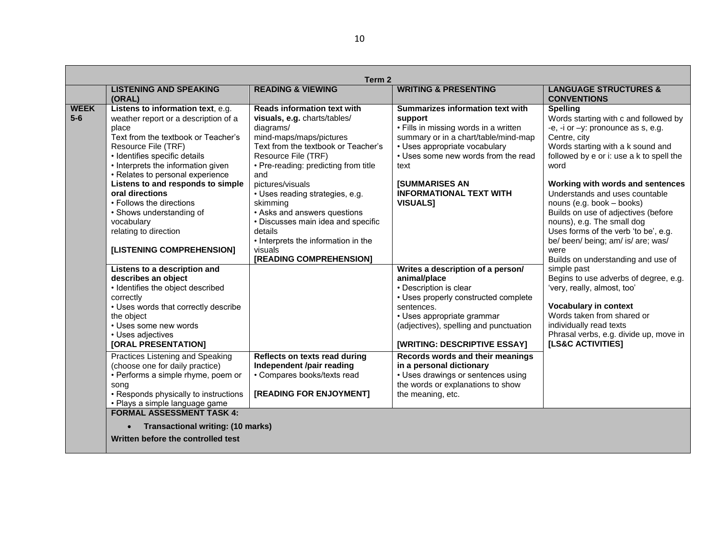| <b>LISTENING AND SPEAKING</b><br>(ORAL)                                                                                                                                                                                                                                                                                                                                                                                                                                                                                                                                                                                  | <b>READING &amp; VIEWING</b>                                                                                                                                                                                                                                                                                                                                                                                                                             | <b>WRITING &amp; PRESENTING</b>                                                                                                                                                                                                                                                                                                                                                                                                 | <b>LANGUAGE STRUCTURES &amp;</b><br><b>CONVENTIONS</b>                                                                                                                                                                                                                                                                                                                                                                                                                                                                                                                                                                             |
|--------------------------------------------------------------------------------------------------------------------------------------------------------------------------------------------------------------------------------------------------------------------------------------------------------------------------------------------------------------------------------------------------------------------------------------------------------------------------------------------------------------------------------------------------------------------------------------------------------------------------|----------------------------------------------------------------------------------------------------------------------------------------------------------------------------------------------------------------------------------------------------------------------------------------------------------------------------------------------------------------------------------------------------------------------------------------------------------|---------------------------------------------------------------------------------------------------------------------------------------------------------------------------------------------------------------------------------------------------------------------------------------------------------------------------------------------------------------------------------------------------------------------------------|------------------------------------------------------------------------------------------------------------------------------------------------------------------------------------------------------------------------------------------------------------------------------------------------------------------------------------------------------------------------------------------------------------------------------------------------------------------------------------------------------------------------------------------------------------------------------------------------------------------------------------|
| <b>WEEK</b><br>Listens to information text, e.g.<br>$5-6$<br>weather report or a description of a<br>place<br>Text from the textbook or Teacher's<br>Resource File (TRF)<br>· Identifies specific details<br>• Interprets the information given<br>• Relates to personal experience<br>Listens to and responds to simple<br>oral directions<br>• Follows the directions<br>• Shows understanding of<br>vocabulary<br>relating to direction<br>[LISTENING COMPREHENSION]<br>Listens to a description and<br>describes an object<br>· Identifies the object described<br>correctly<br>• Uses words that correctly describe | <b>Reads information text with</b><br>visuals, e.g. charts/tables/<br>diagrams/<br>mind-maps/maps/pictures<br>Text from the textbook or Teacher's<br>Resource File (TRF)<br>• Pre-reading: predicting from title<br>and<br>pictures/visuals<br>• Uses reading strategies, e.g.<br>skimming<br>• Asks and answers questions<br>• Discusses main idea and specific<br>details<br>• Interprets the information in the<br>visuals<br>[READING COMPREHENSION] | Summarizes information text with<br>support<br>• Fills in missing words in a written<br>summary or in a chart/table/mind-map<br>• Uses appropriate vocabulary<br>• Uses some new words from the read<br>text<br><b>[SUMMARISES AN</b><br><b>INFORMATIONAL TEXT WITH</b><br><b>VISUALS1</b><br>Writes a description of a person/<br>animal/place<br>• Description is clear<br>• Uses properly constructed complete<br>sentences. | <b>Spelling</b><br>Words starting with c and followed by<br>-e, -i or -y: pronounce as s, e.g.<br>Centre, city<br>Words starting with a k sound and<br>followed by e or i: use a k to spell the<br>word<br>Working with words and sentences<br>Understands and uses countable<br>nouns (e.g. book - books)<br>Builds on use of adjectives (before<br>nouns), e.g. The small dog<br>Uses forms of the verb 'to be', e.g.<br>be/ been/ being; am/ is/ are; was/<br>were<br>Builds on understanding and use of<br>simple past<br>Begins to use adverbs of degree, e.g.<br>'very, really, almost, too'<br><b>Vocabulary in context</b> |
| the object<br>• Uses some new words<br>• Uses adjectives<br>[ORAL PRESENTATION]                                                                                                                                                                                                                                                                                                                                                                                                                                                                                                                                          |                                                                                                                                                                                                                                                                                                                                                                                                                                                          | • Uses appropriate grammar<br>(adjectives), spelling and punctuation<br><b>[WRITING: DESCRIPTIVE ESSAY]</b>                                                                                                                                                                                                                                                                                                                     | Words taken from shared or<br>individually read texts<br>Phrasal verbs, e.g. divide up, move in<br><b>[LS&amp;C ACTIVITIES]</b>                                                                                                                                                                                                                                                                                                                                                                                                                                                                                                    |
| Practices Listening and Speaking<br>(choose one for daily practice)<br>• Performs a simple rhyme, poem or<br>song<br>• Responds physically to instructions                                                                                                                                                                                                                                                                                                                                                                                                                                                               | Reflects on texts read during<br>Independent /pair reading<br>• Compares books/texts read<br>[READING FOR ENJOYMENT]                                                                                                                                                                                                                                                                                                                                     | Records words and their meanings<br>in a personal dictionary<br>• Uses drawings or sentences using<br>the words or explanations to show<br>the meaning, etc.                                                                                                                                                                                                                                                                    |                                                                                                                                                                                                                                                                                                                                                                                                                                                                                                                                                                                                                                    |
| • Plays a simple language game<br><b>FORMAL ASSESSMENT TASK 4:</b><br>Transactional writing: (10 marks)<br>$\bullet$<br>Written before the controlled test                                                                                                                                                                                                                                                                                                                                                                                                                                                               |                                                                                                                                                                                                                                                                                                                                                                                                                                                          |                                                                                                                                                                                                                                                                                                                                                                                                                                 |                                                                                                                                                                                                                                                                                                                                                                                                                                                                                                                                                                                                                                    |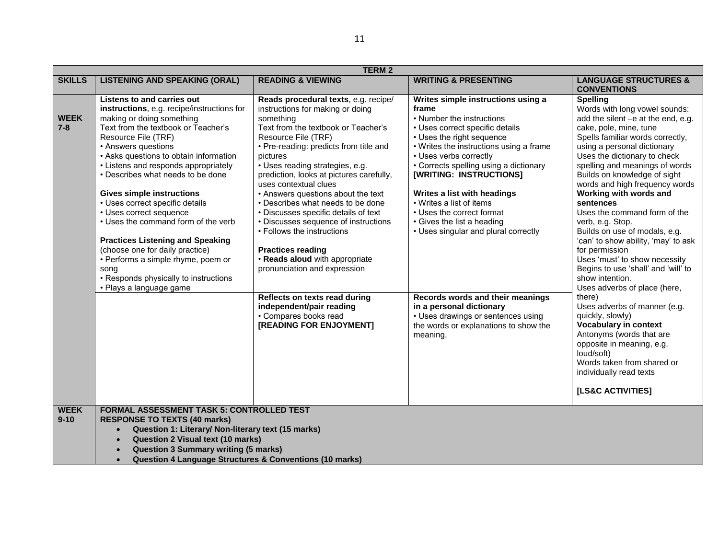|                         | <b>TERM2</b>                                                                                                                                                                                                                                                                                                                                                                                                                                                                                                                                                                                                                                                      |                                                                                                                                                                                                                                                                                                                                                                                                                                                                                                                                                                                                                                                                                                                           |                                                                                                                                                                                                                                                                                                                                                                                                                                                                                                                                                                                                             |                                                                                                                                                                                                                                                                                                                                                                                                                                                                                                                                                                                                                                                                                                                                                                                                |  |
|-------------------------|-------------------------------------------------------------------------------------------------------------------------------------------------------------------------------------------------------------------------------------------------------------------------------------------------------------------------------------------------------------------------------------------------------------------------------------------------------------------------------------------------------------------------------------------------------------------------------------------------------------------------------------------------------------------|---------------------------------------------------------------------------------------------------------------------------------------------------------------------------------------------------------------------------------------------------------------------------------------------------------------------------------------------------------------------------------------------------------------------------------------------------------------------------------------------------------------------------------------------------------------------------------------------------------------------------------------------------------------------------------------------------------------------------|-------------------------------------------------------------------------------------------------------------------------------------------------------------------------------------------------------------------------------------------------------------------------------------------------------------------------------------------------------------------------------------------------------------------------------------------------------------------------------------------------------------------------------------------------------------------------------------------------------------|------------------------------------------------------------------------------------------------------------------------------------------------------------------------------------------------------------------------------------------------------------------------------------------------------------------------------------------------------------------------------------------------------------------------------------------------------------------------------------------------------------------------------------------------------------------------------------------------------------------------------------------------------------------------------------------------------------------------------------------------------------------------------------------------|--|
| <b>SKILLS</b>           | <b>LISTENING AND SPEAKING (ORAL)</b>                                                                                                                                                                                                                                                                                                                                                                                                                                                                                                                                                                                                                              | <b>READING &amp; VIEWING</b>                                                                                                                                                                                                                                                                                                                                                                                                                                                                                                                                                                                                                                                                                              | <b>WRITING &amp; PRESENTING</b>                                                                                                                                                                                                                                                                                                                                                                                                                                                                                                                                                                             | <b>LANGUAGE STRUCTURES &amp;</b><br><b>CONVENTIONS</b>                                                                                                                                                                                                                                                                                                                                                                                                                                                                                                                                                                                                                                                                                                                                         |  |
| <b>WEEK</b><br>$7 - 8$  | <b>Listens to and carries out</b><br>instructions, e.g. recipe/instructions for<br>making or doing something<br>Text from the textbook or Teacher's<br>Resource File (TRF)<br>• Answers questions<br>• Asks questions to obtain information<br>• Listens and responds appropriately<br>• Describes what needs to be done<br><b>Gives simple instructions</b><br>• Uses correct specific details<br>• Uses correct sequence<br>• Uses the command form of the verb<br><b>Practices Listening and Speaking</b><br>(choose one for daily practice)<br>• Performs a simple rhyme, poem or<br>song<br>• Responds physically to instructions<br>• Plays a language game | Reads procedural texts, e.g. recipe/<br>instructions for making or doing<br>something<br>Text from the textbook or Teacher's<br>Resource File (TRF)<br>• Pre-reading: predicts from title and<br>pictures<br>• Uses reading strategies, e.g.<br>prediction, looks at pictures carefully,<br>uses contextual clues<br>• Answers questions about the text<br>• Describes what needs to be done<br>• Discusses specific details of text<br>• Discusses sequence of instructions<br>• Follows the instructions<br><b>Practices reading</b><br>• Reads aloud with appropriate<br>pronunciation and expression<br>Reflects on texts read during<br>independent/pair reading<br>• Compares books read<br>[READING FOR ENJOYMENT] | Writes simple instructions using a<br>frame<br>• Number the instructions<br>• Uses correct specific details<br>• Uses the right sequence<br>• Writes the instructions using a frame<br>• Uses verbs correctly<br>• Corrects spelling using a dictionary<br>[WRITING: INSTRUCTIONS]<br>Writes a list with headings<br>• Writes a list of items<br>• Uses the correct format<br>• Gives the list a heading<br>• Uses singular and plural correctly<br>Records words and their meanings<br>in a personal dictionary<br>• Uses drawings or sentences using<br>the words or explanations to show the<br>meaning, | <b>Spelling</b><br>Words with long vowel sounds:<br>add the silent -e at the end, e.g.<br>cake, pole, mine, tune<br>Spells familiar words correctly,<br>using a personal dictionary<br>Uses the dictionary to check<br>spelling and meanings of words<br>Builds on knowledge of sight<br>words and high frequency words<br>Working with words and<br>sentences<br>Uses the command form of the<br>verb, e.g. Stop.<br>Builds on use of modals, e.g.<br>'can' to show ability, 'may' to ask<br>for permission<br>Uses 'must' to show necessity<br>Begins to use 'shall' and 'will' to<br>show intention.<br>Uses adverbs of place (here,<br>there)<br>Uses adverbs of manner (e.g.<br>quickly, slowly)<br><b>Vocabulary in context</b><br>Antonyms (words that are<br>opposite in meaning, e.g. |  |
|                         |                                                                                                                                                                                                                                                                                                                                                                                                                                                                                                                                                                                                                                                                   |                                                                                                                                                                                                                                                                                                                                                                                                                                                                                                                                                                                                                                                                                                                           |                                                                                                                                                                                                                                                                                                                                                                                                                                                                                                                                                                                                             | loud/soft)<br>Words taken from shared or<br>individually read texts<br><b>[LS&amp;C ACTIVITIES]</b>                                                                                                                                                                                                                                                                                                                                                                                                                                                                                                                                                                                                                                                                                            |  |
|                         |                                                                                                                                                                                                                                                                                                                                                                                                                                                                                                                                                                                                                                                                   |                                                                                                                                                                                                                                                                                                                                                                                                                                                                                                                                                                                                                                                                                                                           |                                                                                                                                                                                                                                                                                                                                                                                                                                                                                                                                                                                                             |                                                                                                                                                                                                                                                                                                                                                                                                                                                                                                                                                                                                                                                                                                                                                                                                |  |
| <b>WEEK</b><br>$9 - 10$ | <b>FORMAL ASSESSMENT TASK 5: CONTROLLED TEST</b><br><b>RESPONSE TO TEXTS (40 marks)</b><br>Question 1: Literary/ Non-literary text (15 marks)<br><b>Question 2 Visual text (10 marks)</b><br>$\bullet$<br><b>Question 3 Summary writing (5 marks)</b><br><b>Question 4 Language Structures &amp; Conventions (10 marks)</b>                                                                                                                                                                                                                                                                                                                                       |                                                                                                                                                                                                                                                                                                                                                                                                                                                                                                                                                                                                                                                                                                                           |                                                                                                                                                                                                                                                                                                                                                                                                                                                                                                                                                                                                             |                                                                                                                                                                                                                                                                                                                                                                                                                                                                                                                                                                                                                                                                                                                                                                                                |  |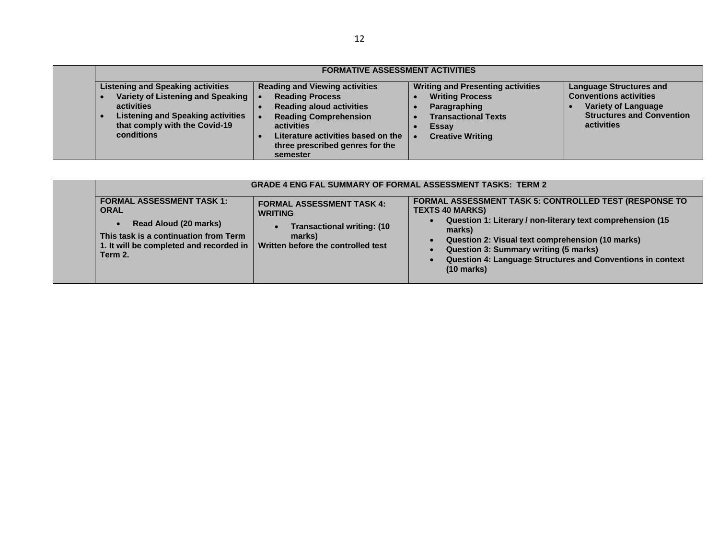|                                                                                                                                                                                            | <b>FORMATIVE ASSESSMENT ACTIVITIES</b>                                                                                                                                                                                                |                                                                                                                                                      |                                                                                                                                                        |
|--------------------------------------------------------------------------------------------------------------------------------------------------------------------------------------------|---------------------------------------------------------------------------------------------------------------------------------------------------------------------------------------------------------------------------------------|------------------------------------------------------------------------------------------------------------------------------------------------------|--------------------------------------------------------------------------------------------------------------------------------------------------------|
| <b>Listening and Speaking activities</b><br>Variety of Listening and Speaking   •<br>activities<br><b>Listening and Speaking activities</b><br>that comply with the Covid-19<br>conditions | <b>Reading and Viewing activities</b><br><b>Reading Process</b><br><b>Reading aloud activities</b><br><b>Reading Comprehension</b><br>activities<br>Literature activities based on the<br>three prescribed genres for the<br>semester | <b>Writing and Presenting activities</b><br><b>Writing Process</b><br>Paragraphing<br><b>Transactional Texts</b><br>Essay<br><b>Creative Writing</b> | <b>Language Structures and</b><br><b>Conventions activities</b><br><b>Variety of Language</b><br><b>Structures and Convention</b><br><b>activities</b> |

|                                                                                                                                                                                      | <b>GRADE 4 ENG FAL SUMMARY OF FORMAL ASSESSMENT TASKS: TERM 2</b>                                                                                     |                                                                                                                                                                                                                                                                                                                                                            |
|--------------------------------------------------------------------------------------------------------------------------------------------------------------------------------------|-------------------------------------------------------------------------------------------------------------------------------------------------------|------------------------------------------------------------------------------------------------------------------------------------------------------------------------------------------------------------------------------------------------------------------------------------------------------------------------------------------------------------|
| <b>FORMAL ASSESSMENT TASK 1:</b><br><b>ORAL</b><br>Read Aloud (20 marks)<br>$\bullet$<br>This task is a continuation from Term<br>1. It will be completed and recorded in<br>Term 2. | <b>FORMAL ASSESSMENT TASK 4:</b><br><b>WRITING</b><br><b>Transactional writing: (10)</b><br>$\bullet$<br>marks)<br>Written before the controlled test | <b>FORMAL ASSESSMENT TASK 5: CONTROLLED TEST (RESPONSE TO</b><br><b>TEXTS 40 MARKS)</b><br>Question 1: Literary / non-literary text comprehension (15)<br>marks)<br>Question 2: Visual text comprehension (10 marks)<br><b>Question 3: Summary writing (5 marks)</b><br>Question 4: Language Structures and Conventions in context<br>$(10 \text{ marks})$ |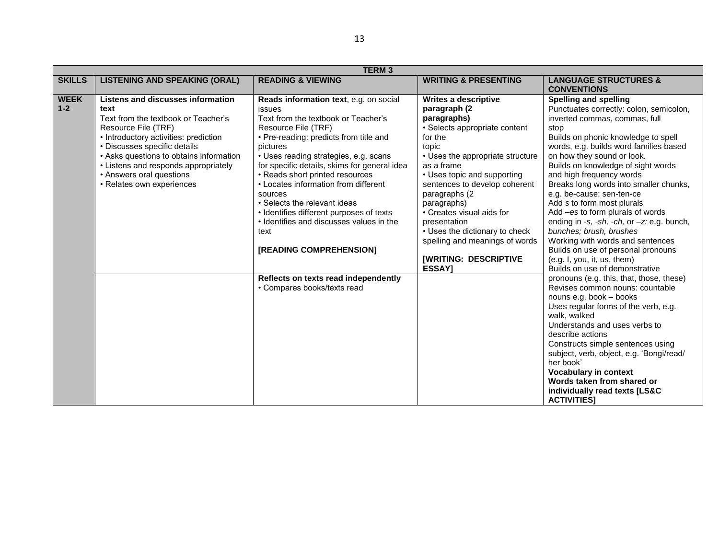|               |                                          | <b>TERM3</b>                                 |                                  |                                               |
|---------------|------------------------------------------|----------------------------------------------|----------------------------------|-----------------------------------------------|
| <b>SKILLS</b> | <b>LISTENING AND SPEAKING (ORAL)</b>     | <b>READING &amp; VIEWING</b>                 | <b>WRITING &amp; PRESENTING</b>  | <b>LANGUAGE STRUCTURES &amp;</b>              |
|               |                                          |                                              |                                  | <b>CONVENTIONS</b>                            |
| <b>WEEK</b>   | <b>Listens and discusses information</b> | Reads information text, e.g. on social       | Writes a descriptive             | <b>Spelling and spelling</b>                  |
| $1 - 2$       | text                                     | issues                                       | paragraph (2                     | Punctuates correctly: colon, semicolon,       |
|               | Text from the textbook or Teacher's      | Text from the textbook or Teacher's          | paragraphs)                      | inverted commas, commas, full                 |
|               | Resource File (TRF)                      | Resource File (TRF)                          | · Selects appropriate content    | stop                                          |
|               | • Introductory activities: prediction    | • Pre-reading: predicts from title and       | for the                          | Builds on phonic knowledge to spell           |
|               | • Discusses specific details             | pictures                                     | topic                            | words, e.g. builds word families based        |
|               | • Asks questions to obtains information  | • Uses reading strategies, e.g. scans        | • Uses the appropriate structure | on how they sound or look.                    |
|               | • Listens and responds appropriately     | for specific details, skims for general idea | as a frame                       | Builds on knowledge of sight words            |
|               | • Answers oral questions                 | • Reads short printed resources              | • Uses topic and supporting      | and high frequency words                      |
|               | • Relates own experiences                | • Locates information from different         | sentences to develop coherent    | Breaks long words into smaller chunks,        |
|               |                                          | sources                                      | paragraphs (2)                   | e.g. be-cause; sen-ten-ce                     |
|               |                                          | • Selects the relevant ideas                 | paragraphs)                      | Add s to form most plurals                    |
|               |                                          | • Identifies different purposes of texts     | • Creates visual aids for        | Add -es to form plurals of words              |
|               |                                          | • Identifies and discusses values in the     | presentation                     | ending in -s, -sh, -ch, or -z: e.g. bunch,    |
|               |                                          | text                                         | • Uses the dictionary to check   | bunches; brush, brushes                       |
|               |                                          |                                              | spelling and meanings of words   | Working with words and sentences              |
|               |                                          | [READING COMPREHENSION]                      |                                  | Builds on use of personal pronouns            |
|               |                                          |                                              | <b>[WRITING: DESCRIPTIVE</b>     | (e.g. I, you, it, us, them)                   |
|               |                                          |                                              | ESSAY]                           | Builds on use of demonstrative                |
|               |                                          | Reflects on texts read independently         |                                  | pronouns (e.g. this, that, those, these)      |
|               |                                          | • Compares books/texts read                  |                                  | Revises common nouns: countable               |
|               |                                          |                                              |                                  | nouns e.g. book - books                       |
|               |                                          |                                              |                                  | Uses regular forms of the verb, e.g.          |
|               |                                          |                                              |                                  | walk, walked<br>Understands and uses verbs to |
|               |                                          |                                              |                                  | describe actions                              |
|               |                                          |                                              |                                  | Constructs simple sentences using             |
|               |                                          |                                              |                                  | subject, verb, object, e.g. 'Bongi/read/      |
|               |                                          |                                              |                                  | her book'                                     |
|               |                                          |                                              |                                  | <b>Vocabulary in context</b>                  |
|               |                                          |                                              |                                  | Words taken from shared or                    |
|               |                                          |                                              |                                  | individually read texts [LS&C                 |
|               |                                          |                                              |                                  | <b>ACTIVITIES</b>                             |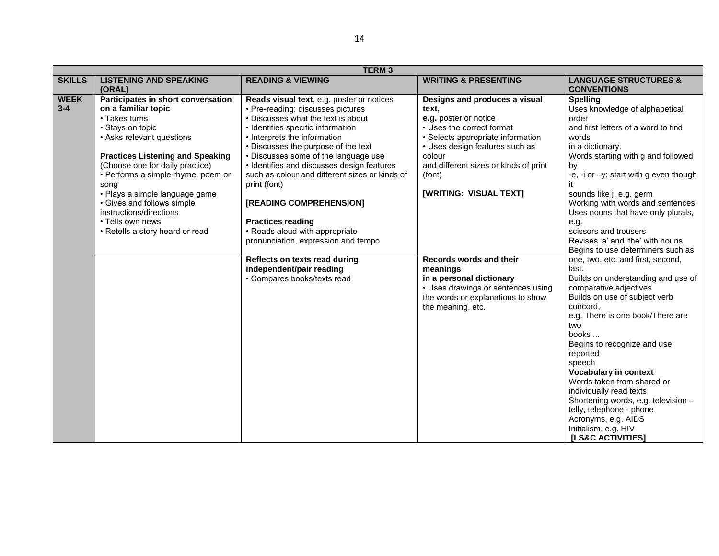|               |                                         | <b>TERM3</b>                                   |                                       |                                           |
|---------------|-----------------------------------------|------------------------------------------------|---------------------------------------|-------------------------------------------|
| <b>SKILLS</b> | <b>LISTENING AND SPEAKING</b>           | <b>READING &amp; VIEWING</b>                   | <b>WRITING &amp; PRESENTING</b>       | <b>LANGUAGE STRUCTURES &amp;</b>          |
|               | (ORAL)                                  |                                                |                                       | <b>CONVENTIONS</b>                        |
| <b>WEEK</b>   | Participates in short conversation      | Reads visual text, e.g. poster or notices      | Designs and produces a visual         | <b>Spelling</b>                           |
| $3 - 4$       | on a familiar topic                     | • Pre-reading: discusses pictures              | text.                                 | Uses knowledge of alphabetical            |
|               | • Takes turns                           | • Discusses what the text is about             | e.g. poster or notice                 | order                                     |
|               | • Stays on topic                        | • Identifies specific information              | • Uses the correct format             | and first letters of a word to find       |
|               | • Asks relevant questions               | • Interprets the information                   | · Selects appropriate information     | words                                     |
|               |                                         | • Discusses the purpose of the text            | • Uses design features such as        | in a dictionary.                          |
|               | <b>Practices Listening and Speaking</b> | • Discusses some of the language use           | colour                                | Words starting with g and followed        |
|               | (Choose one for daily practice)         | • Identifies and discusses design features     | and different sizes or kinds of print | by                                        |
|               | • Performs a simple rhyme, poem or      | such as colour and different sizes or kinds of | (font)                                | -e, -i or $-y$ : start with g even though |
|               | song                                    | print (font)                                   |                                       |                                           |
|               | · Plays a simple language game          |                                                | [WRITING: VISUAL TEXT]                | sounds like j, e.g. germ                  |
|               | • Gives and follows simple              | [READING COMPREHENSION]                        |                                       | Working with words and sentences          |
|               | instructions/directions                 |                                                |                                       | Uses nouns that have only plurals,        |
|               | • Tells own news                        | <b>Practices reading</b>                       |                                       | e.g.                                      |
|               | • Retells a story heard or read         | • Reads aloud with appropriate                 |                                       | scissors and trousers                     |
|               |                                         | pronunciation, expression and tempo            |                                       | Revises 'a' and 'the' with nouns.         |
|               |                                         |                                                |                                       | Begins to use determiners such as         |
|               |                                         | Reflects on texts read during                  | Records words and their               | one, two, etc. and first, second,         |
|               |                                         | independent/pair reading                       | meanings                              | last.                                     |
|               |                                         | • Compares books/texts read                    | in a personal dictionary              | Builds on understanding and use of        |
|               |                                         |                                                | • Uses drawings or sentences using    | comparative adjectives                    |
|               |                                         |                                                | the words or explanations to show     | Builds on use of subject verb             |
|               |                                         |                                                | the meaning, etc.                     | concord,                                  |
|               |                                         |                                                |                                       | e.g. There is one book/There are          |
|               |                                         |                                                |                                       | two<br>books                              |
|               |                                         |                                                |                                       | Begins to recognize and use               |
|               |                                         |                                                |                                       | reported                                  |
|               |                                         |                                                |                                       | speech                                    |
|               |                                         |                                                |                                       | <b>Vocabulary in context</b>              |
|               |                                         |                                                |                                       | Words taken from shared or                |
|               |                                         |                                                |                                       | individually read texts                   |
|               |                                         |                                                |                                       | Shortening words, e.g. television -       |
|               |                                         |                                                |                                       | telly, telephone - phone                  |
|               |                                         |                                                |                                       | Acronyms, e.g. AIDS                       |
|               |                                         |                                                |                                       | Initialism, e.g. HIV                      |
|               |                                         |                                                |                                       | [LS&C ACTIVITIES]                         |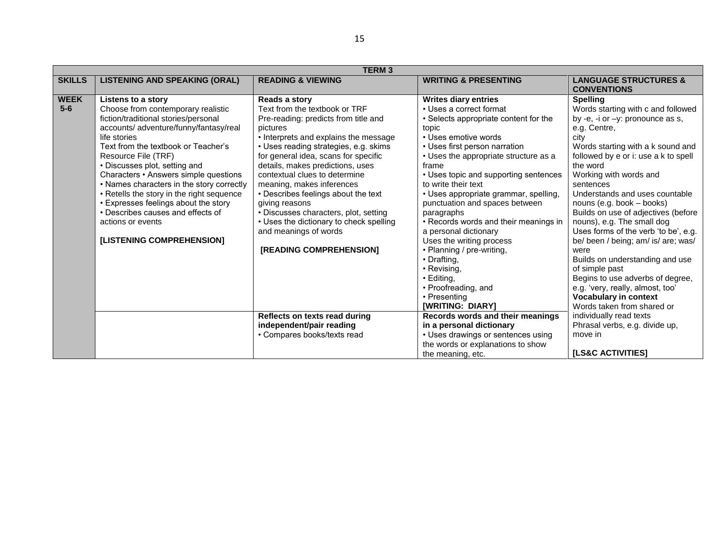|                      |                                                                                                                                                                                                                                                                                                                                                                                                                                                                                                                             | <b>TERM3</b>                                                                                                                                                                                                                                                                                                                                                                                                                                                                                                                           |                                                                                                                                                                                                                                                                                                                                                                                                                                                                                                                                                                                                                |                                                                                                                                                                                                                                                                                                                                                                                                                                                                                                                                                                                                                                                                            |
|----------------------|-----------------------------------------------------------------------------------------------------------------------------------------------------------------------------------------------------------------------------------------------------------------------------------------------------------------------------------------------------------------------------------------------------------------------------------------------------------------------------------------------------------------------------|----------------------------------------------------------------------------------------------------------------------------------------------------------------------------------------------------------------------------------------------------------------------------------------------------------------------------------------------------------------------------------------------------------------------------------------------------------------------------------------------------------------------------------------|----------------------------------------------------------------------------------------------------------------------------------------------------------------------------------------------------------------------------------------------------------------------------------------------------------------------------------------------------------------------------------------------------------------------------------------------------------------------------------------------------------------------------------------------------------------------------------------------------------------|----------------------------------------------------------------------------------------------------------------------------------------------------------------------------------------------------------------------------------------------------------------------------------------------------------------------------------------------------------------------------------------------------------------------------------------------------------------------------------------------------------------------------------------------------------------------------------------------------------------------------------------------------------------------------|
| <b>SKILLS</b>        | <b>LISTENING AND SPEAKING (ORAL)</b>                                                                                                                                                                                                                                                                                                                                                                                                                                                                                        | <b>READING &amp; VIEWING</b>                                                                                                                                                                                                                                                                                                                                                                                                                                                                                                           | <b>WRITING &amp; PRESENTING</b>                                                                                                                                                                                                                                                                                                                                                                                                                                                                                                                                                                                | <b>LANGUAGE STRUCTURES &amp;</b><br><b>CONVENTIONS</b>                                                                                                                                                                                                                                                                                                                                                                                                                                                                                                                                                                                                                     |
| <b>WEEK</b><br>$5-6$ | Listens to a story<br>Choose from contemporary realistic<br>fiction/traditional stories/personal<br>accounts/ adventure/funny/fantasy/real<br>life stories<br>Text from the textbook or Teacher's<br>Resource File (TRF)<br>• Discusses plot, setting and<br>Characters • Answers simple questions<br>• Names characters in the story correctly<br>• Retells the story in the right sequence<br>• Expresses feelings about the story<br>• Describes causes and effects of<br>actions or events<br>[LISTENING COMPREHENSION] | Reads a story<br>Text from the textbook or TRF<br>Pre-reading: predicts from title and<br>pictures<br>• Interprets and explains the message<br>• Uses reading strategies, e.g. skims<br>for general idea, scans for specific<br>details, makes predictions, uses<br>contextual clues to determine<br>meaning, makes inferences<br>• Describes feelings about the text<br>giving reasons<br>• Discusses characters, plot, setting<br>• Uses the dictionary to check spelling<br>and meanings of words<br><b>[READING COMPREHENSION]</b> | <b>Writes diary entries</b><br>• Uses a correct format<br>• Selects appropriate content for the<br>topic<br>• Uses emotive words<br>• Uses first person narration<br>• Uses the appropriate structure as a<br>frame<br>• Uses topic and supporting sentences<br>to write their text<br>• Uses appropriate grammar, spelling,<br>punctuation and spaces between<br>paragraphs<br>• Records words and their meanings in<br>a personal dictionary<br>Uses the writing process<br>• Planning / pre-writing,<br>• Drafting,<br>• Revising,<br>• Editing,<br>• Proofreading, and<br>• Presenting<br>[WRITING: DIARY] | <b>Spelling</b><br>Words starting with c and followed<br>by -e, -i or $-y$ : pronounce as s,<br>e.g. Centre,<br>city<br>Words starting with a k sound and<br>followed by e or i: use a k to spell<br>the word<br>Working with words and<br>sentences<br>Understands and uses countable<br>nouns (e.g. book - books)<br>Builds on use of adjectives (before<br>nouns), e.g. The small dog<br>Uses forms of the verb 'to be', e.g.<br>be/ been / being; am/ is/ are; was/<br>were<br>Builds on understanding and use<br>of simple past<br>Begins to use adverbs of degree,<br>e.g. 'very, really, almost, too'<br><b>Vocabulary in context</b><br>Words taken from shared or |
|                      |                                                                                                                                                                                                                                                                                                                                                                                                                                                                                                                             | Reflects on texts read during<br>independent/pair reading<br>• Compares books/texts read                                                                                                                                                                                                                                                                                                                                                                                                                                               | Records words and their meanings<br>in a personal dictionary<br>• Uses drawings or sentences using<br>the words or explanations to show<br>the meaning, etc.                                                                                                                                                                                                                                                                                                                                                                                                                                                   | individually read texts<br>Phrasal verbs, e.g. divide up,<br>move in<br>[LS&C ACTIVITIES]                                                                                                                                                                                                                                                                                                                                                                                                                                                                                                                                                                                  |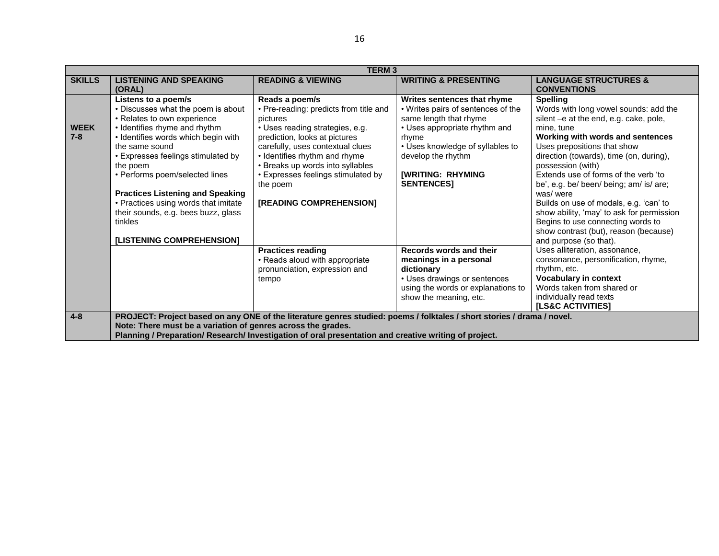|                        | <b>TERM3</b>                                                                                                                                                                                                                                                                                                                                                                                                                             |                                                                                                                                                                                                                                                                                                                                |                                                                                                                                                                                                                                                  |                                                                                                                                                                                                                                                                                                                                                                                                                                                                                                                                                    |  |  |
|------------------------|------------------------------------------------------------------------------------------------------------------------------------------------------------------------------------------------------------------------------------------------------------------------------------------------------------------------------------------------------------------------------------------------------------------------------------------|--------------------------------------------------------------------------------------------------------------------------------------------------------------------------------------------------------------------------------------------------------------------------------------------------------------------------------|--------------------------------------------------------------------------------------------------------------------------------------------------------------------------------------------------------------------------------------------------|----------------------------------------------------------------------------------------------------------------------------------------------------------------------------------------------------------------------------------------------------------------------------------------------------------------------------------------------------------------------------------------------------------------------------------------------------------------------------------------------------------------------------------------------------|--|--|
| <b>SKILLS</b>          | <b>LISTENING AND SPEAKING</b><br>(ORAL)                                                                                                                                                                                                                                                                                                                                                                                                  | <b>READING &amp; VIEWING</b>                                                                                                                                                                                                                                                                                                   | <b>WRITING &amp; PRESENTING</b>                                                                                                                                                                                                                  | <b>LANGUAGE STRUCTURES &amp;</b><br><b>CONVENTIONS</b>                                                                                                                                                                                                                                                                                                                                                                                                                                                                                             |  |  |
| <b>WEEK</b><br>$7 - 8$ | Listens to a poem/s<br>• Discusses what the poem is about<br>• Relates to own experience<br>• Identifies rhyme and rhythm<br>• Identifies words which begin with<br>the same sound<br>• Expresses feelings stimulated by<br>the poem<br>• Performs poem/selected lines<br><b>Practices Listening and Speaking</b><br>• Practices using words that imitate<br>their sounds, e.g. bees buzz, glass<br>tinkles<br>[LISTENING COMPREHENSION] | Reads a poem/s<br>• Pre-reading: predicts from title and<br>pictures<br>• Uses reading strategies, e.g.<br>prediction, looks at pictures<br>carefully, uses contextual clues<br>• Identifies rhythm and rhyme<br>• Breaks up words into syllables<br>• Expresses feelings stimulated by<br>the poem<br>[READING COMPREHENSION] | Writes sentences that rhyme<br>• Writes pairs of sentences of the<br>same length that rhyme<br>• Uses appropriate rhythm and<br>rhyme<br>• Uses knowledge of syllables to<br>develop the rhythm<br><b>[WRITING: RHYMING</b><br><b>SENTENCES1</b> | <b>Spelling</b><br>Words with long vowel sounds: add the<br>silent - e at the end, e.g. cake, pole,<br>mine, tune<br>Working with words and sentences<br>Uses prepositions that show<br>direction (towards), time (on, during),<br>possession (with)<br>Extends use of forms of the verb 'to<br>be', e.g. be/ been/ being; am/ is/ are;<br>was/were<br>Builds on use of modals, e.g. 'can' to<br>show ability, 'may' to ask for permission<br>Begins to use connecting words to<br>show contrast (but), reason (because)<br>and purpose (so that). |  |  |
|                        |                                                                                                                                                                                                                                                                                                                                                                                                                                          | <b>Practices reading</b><br>• Reads aloud with appropriate<br>pronunciation, expression and<br>tempo                                                                                                                                                                                                                           | Records words and their<br>meanings in a personal<br>dictionary<br>• Uses drawings or sentences<br>using the words or explanations to<br>show the meaning, etc.                                                                                  | Uses alliteration, assonance,<br>consonance, personification, rhyme,<br>rhythm, etc.<br><b>Vocabulary in context</b><br>Words taken from shared or<br>individually read texts<br><b>ILS&amp;C ACTIVITIES1</b>                                                                                                                                                                                                                                                                                                                                      |  |  |
| $4 - 8$                | PROJECT: Project based on any ONE of the literature genres studied: poems / folktales / short stories / drama / novel.<br>Note: There must be a variation of genres across the grades.<br>Planning / Preparation/ Research/ Investigation of oral presentation and creative writing of project.                                                                                                                                          |                                                                                                                                                                                                                                                                                                                                |                                                                                                                                                                                                                                                  |                                                                                                                                                                                                                                                                                                                                                                                                                                                                                                                                                    |  |  |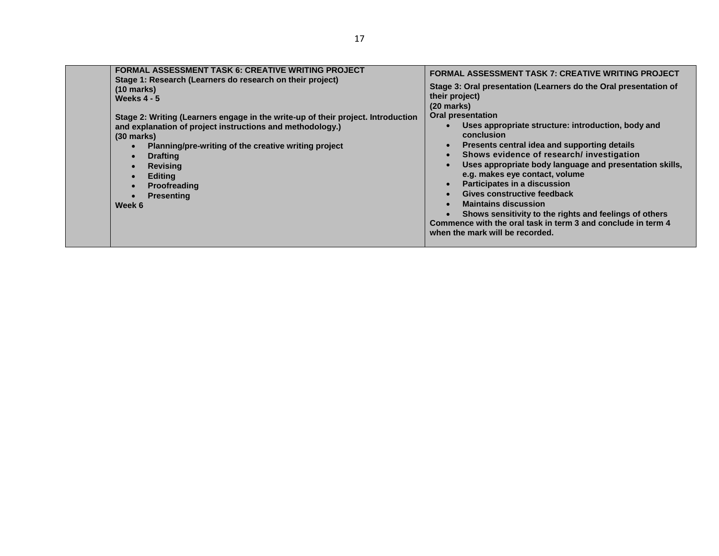| when the mark will be recorded. |  | <b>FORMAL ASSESSMENT TASK 6: CREATIVE WRITING PROJECT</b><br>Stage 1: Research (Learners do research on their project)<br>$(10 \text{ marks})$<br>Weeks $4 - 5$<br>Stage 2: Writing (Learners engage in the write-up of their project. Introduction<br>and explanation of project instructions and methodology.)<br>$(30 \text{ marks})$<br>Planning/pre-writing of the creative writing project<br><b>Drafting</b><br><b>Revising</b><br><b>Editing</b><br><b>Proofreading</b><br><b>Presenting</b><br>Week 6 | <b>FORMAL ASSESSMENT TASK 7: CREATIVE WRITING PROJECT</b><br>Stage 3: Oral presentation (Learners do the Oral presentation of<br>their project)<br>$(20$ marks)<br><b>Oral presentation</b><br>Uses appropriate structure: introduction, body and<br>conclusion<br>Presents central idea and supporting details<br>Shows evidence of research/ investigation<br>Uses appropriate body language and presentation skills,<br>e.g. makes eye contact, volume<br>Participates in a discussion<br>Gives constructive feedback<br><b>Maintains discussion</b><br>Shows sensitivity to the rights and feelings of others<br>Commence with the oral task in term 3 and conclude in term 4 |
|---------------------------------|--|----------------------------------------------------------------------------------------------------------------------------------------------------------------------------------------------------------------------------------------------------------------------------------------------------------------------------------------------------------------------------------------------------------------------------------------------------------------------------------------------------------------|-----------------------------------------------------------------------------------------------------------------------------------------------------------------------------------------------------------------------------------------------------------------------------------------------------------------------------------------------------------------------------------------------------------------------------------------------------------------------------------------------------------------------------------------------------------------------------------------------------------------------------------------------------------------------------------|
|---------------------------------|--|----------------------------------------------------------------------------------------------------------------------------------------------------------------------------------------------------------------------------------------------------------------------------------------------------------------------------------------------------------------------------------------------------------------------------------------------------------------------------------------------------------------|-----------------------------------------------------------------------------------------------------------------------------------------------------------------------------------------------------------------------------------------------------------------------------------------------------------------------------------------------------------------------------------------------------------------------------------------------------------------------------------------------------------------------------------------------------------------------------------------------------------------------------------------------------------------------------------|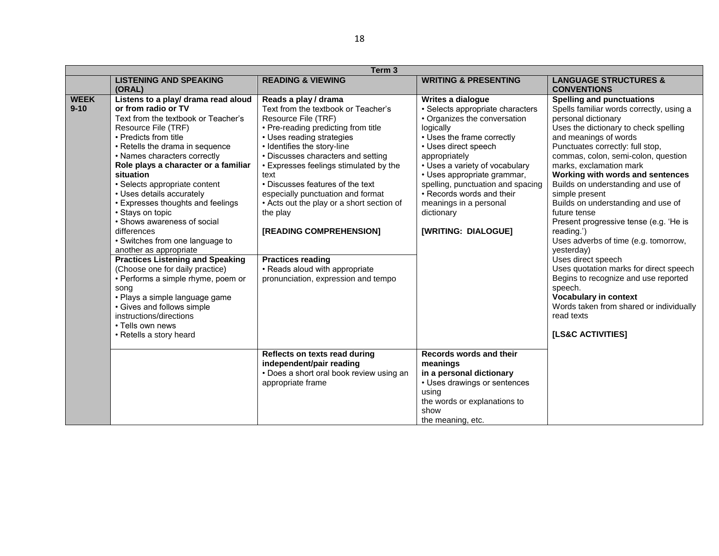|                         | Term <sub>3</sub>                                                                                                                                                                                                                                                                                                                                                                                                                                                                                                                                                                                                                                                                                                                                                                 |                                                                                                                                                                                                                                                                                                                                                                                                                                                                                                                                                 |                                                                                                                                                                                                                                                                                                                                                                             |                                                                                                                                                                                                                                                                                                                                                                                                                                                                                                                                                                                                                                                                                                                                                                              |  |
|-------------------------|-----------------------------------------------------------------------------------------------------------------------------------------------------------------------------------------------------------------------------------------------------------------------------------------------------------------------------------------------------------------------------------------------------------------------------------------------------------------------------------------------------------------------------------------------------------------------------------------------------------------------------------------------------------------------------------------------------------------------------------------------------------------------------------|-------------------------------------------------------------------------------------------------------------------------------------------------------------------------------------------------------------------------------------------------------------------------------------------------------------------------------------------------------------------------------------------------------------------------------------------------------------------------------------------------------------------------------------------------|-----------------------------------------------------------------------------------------------------------------------------------------------------------------------------------------------------------------------------------------------------------------------------------------------------------------------------------------------------------------------------|------------------------------------------------------------------------------------------------------------------------------------------------------------------------------------------------------------------------------------------------------------------------------------------------------------------------------------------------------------------------------------------------------------------------------------------------------------------------------------------------------------------------------------------------------------------------------------------------------------------------------------------------------------------------------------------------------------------------------------------------------------------------------|--|
|                         | <b>LISTENING AND SPEAKING</b><br>(ORAL)                                                                                                                                                                                                                                                                                                                                                                                                                                                                                                                                                                                                                                                                                                                                           | <b>READING &amp; VIEWING</b>                                                                                                                                                                                                                                                                                                                                                                                                                                                                                                                    | <b>WRITING &amp; PRESENTING</b>                                                                                                                                                                                                                                                                                                                                             | <b>LANGUAGE STRUCTURES &amp;</b><br><b>CONVENTIONS</b>                                                                                                                                                                                                                                                                                                                                                                                                                                                                                                                                                                                                                                                                                                                       |  |
| <b>WEEK</b><br>$9 - 10$ | Listens to a play/ drama read aloud<br>or from radio or TV<br>Text from the textbook or Teacher's<br>Resource File (TRF)<br>• Predicts from title<br>• Retells the drama in sequence<br>• Names characters correctly<br>Role plays a character or a familiar<br>situation<br>• Selects appropriate content<br>• Uses details accurately<br>• Expresses thoughts and feelings<br>• Stays on topic<br>• Shows awareness of social<br>differences<br>• Switches from one language to<br>another as appropriate<br><b>Practices Listening and Speaking</b><br>(Choose one for daily practice)<br>• Performs a simple rhyme, poem or<br>song<br>• Plays a simple language game<br>• Gives and follows simple<br>instructions/directions<br>• Tells own news<br>• Retells a story heard | Reads a play / drama<br>Text from the textbook or Teacher's<br>Resource File (TRF)<br>• Pre-reading predicting from title<br>• Uses reading strategies<br>• Identifies the story-line<br>• Discusses characters and setting<br>• Expresses feelings stimulated by the<br>text<br>• Discusses features of the text<br>especially punctuation and format<br>• Acts out the play or a short section of<br>the play<br>[READING COMPREHENSION]<br><b>Practices reading</b><br>• Reads aloud with appropriate<br>pronunciation, expression and tempo | Writes a dialogue<br>· Selects appropriate characters<br>• Organizes the conversation<br>logically<br>• Uses the frame correctly<br>• Uses direct speech<br>appropriately<br>• Uses a variety of vocabulary<br>• Uses appropriate grammar,<br>spelling, punctuation and spacing<br>• Records words and their<br>meanings in a personal<br>dictionary<br>[WRITING: DIALOGUE] | <b>Spelling and punctuations</b><br>Spells familiar words correctly, using a<br>personal dictionary<br>Uses the dictionary to check spelling<br>and meanings of words<br>Punctuates correctly: full stop,<br>commas, colon, semi-colon, question<br>marks, exclamation mark<br>Working with words and sentences<br>Builds on understanding and use of<br>simple present<br>Builds on understanding and use of<br>future tense<br>Present progressive tense (e.g. 'He is<br>reading.')<br>Uses adverbs of time (e.g. tomorrow,<br>yesterday)<br>Uses direct speech<br>Uses quotation marks for direct speech<br>Begins to recognize and use reported<br>speech.<br><b>Vocabulary in context</b><br>Words taken from shared or individually<br>read texts<br>[LS&C ACTIVITIES] |  |
|                         |                                                                                                                                                                                                                                                                                                                                                                                                                                                                                                                                                                                                                                                                                                                                                                                   | Reflects on texts read during<br>independent/pair reading<br>• Does a short oral book review using an<br>appropriate frame                                                                                                                                                                                                                                                                                                                                                                                                                      | Records words and their<br>meanings<br>in a personal dictionary<br>• Uses drawings or sentences<br>using<br>the words or explanations to<br>show<br>the meaning, etc.                                                                                                                                                                                                       |                                                                                                                                                                                                                                                                                                                                                                                                                                                                                                                                                                                                                                                                                                                                                                              |  |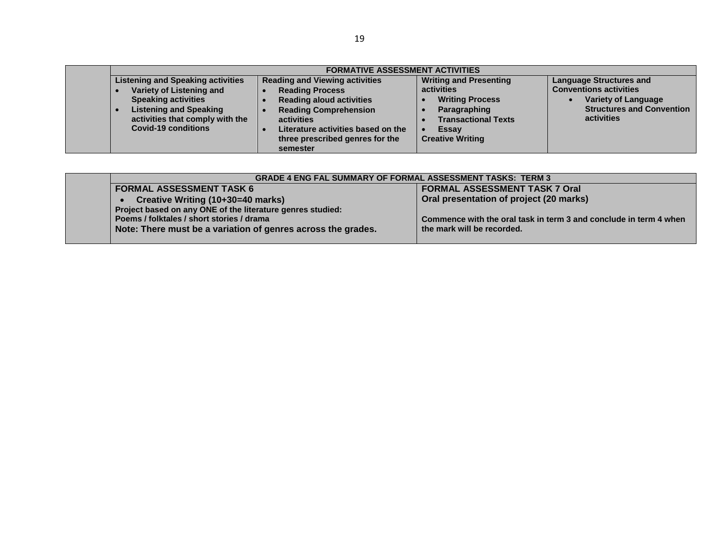| <b>FORMATIVE ASSESSMENT ACTIVITIES</b>   |                                       |                               |                                  |
|------------------------------------------|---------------------------------------|-------------------------------|----------------------------------|
| <b>Listening and Speaking activities</b> | <b>Reading and Viewing activities</b> | <b>Writing and Presenting</b> | <b>Language Structures and</b>   |
| Variety of Listening and                 | <b>Reading Process</b>                | activities                    | <b>Conventions activities</b>    |
| <b>Speaking activities</b>               | <b>Reading aloud activities</b>       | <b>Writing Process</b>        | <b>Variety of Language</b>       |
| <b>Listening and Speaking</b>            | <b>Reading Comprehension</b>          | Paragraphing                  | <b>Structures and Convention</b> |
| activities that comply with the          | activities                            | <b>Transactional Texts</b>    | activities                       |
| <b>Covid-19 conditions</b>               | Literature activities based on the    | <b>Essay</b>                  |                                  |
|                                          | three prescribed genres for the       | <b>Creative Writing</b>       |                                  |
|                                          | semester                              |                               |                                  |

| <b>GRADE 4 ENG FAL SUMMARY OF FORMAL ASSESSMENT TASKS: TERM 3</b> |                                                                   |  |  |
|-------------------------------------------------------------------|-------------------------------------------------------------------|--|--|
| <b>FORMAL ASSESSMENT TASK 6</b>                                   | <b>FORMAL ASSESSMENT TASK 7 Oral</b>                              |  |  |
| Creative Writing (10+30=40 marks)                                 | Oral presentation of project (20 marks)                           |  |  |
| Project based on any ONE of the literature genres studied:        |                                                                   |  |  |
| Poems / folktales / short stories / drama                         | Commence with the oral task in term 3 and conclude in term 4 when |  |  |
| Note: There must be a variation of genres across the grades.      | the mark will be recorded.                                        |  |  |
|                                                                   |                                                                   |  |  |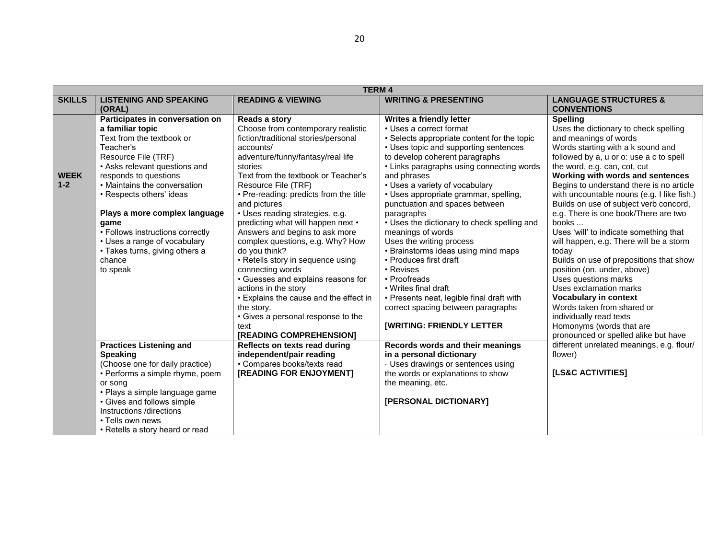|                        |                                                                                                                                                                                                                                                                                                                                                                                                                 | <b>TERM4</b>                                                                                                                                                                                                                                                                                                                                                                                                                                                                                                                                                                                                                                                                  |                                                                                                                                                                                                                                                                                                                                                                                                                                                                                                                                                                                                                                                                                                            |                                                                                                                                                                                                                                                                                                                                                                                                                                                                                                                                                                                                                                                                                                                                                                           |
|------------------------|-----------------------------------------------------------------------------------------------------------------------------------------------------------------------------------------------------------------------------------------------------------------------------------------------------------------------------------------------------------------------------------------------------------------|-------------------------------------------------------------------------------------------------------------------------------------------------------------------------------------------------------------------------------------------------------------------------------------------------------------------------------------------------------------------------------------------------------------------------------------------------------------------------------------------------------------------------------------------------------------------------------------------------------------------------------------------------------------------------------|------------------------------------------------------------------------------------------------------------------------------------------------------------------------------------------------------------------------------------------------------------------------------------------------------------------------------------------------------------------------------------------------------------------------------------------------------------------------------------------------------------------------------------------------------------------------------------------------------------------------------------------------------------------------------------------------------------|---------------------------------------------------------------------------------------------------------------------------------------------------------------------------------------------------------------------------------------------------------------------------------------------------------------------------------------------------------------------------------------------------------------------------------------------------------------------------------------------------------------------------------------------------------------------------------------------------------------------------------------------------------------------------------------------------------------------------------------------------------------------------|
| <b>SKILLS</b>          | <b>LISTENING AND SPEAKING</b><br>(ORAL)                                                                                                                                                                                                                                                                                                                                                                         | <b>READING &amp; VIEWING</b>                                                                                                                                                                                                                                                                                                                                                                                                                                                                                                                                                                                                                                                  | <b>WRITING &amp; PRESENTING</b>                                                                                                                                                                                                                                                                                                                                                                                                                                                                                                                                                                                                                                                                            | <b>LANGUAGE STRUCTURES &amp;</b><br><b>CONVENTIONS</b>                                                                                                                                                                                                                                                                                                                                                                                                                                                                                                                                                                                                                                                                                                                    |
| <b>WEEK</b><br>$1 - 2$ | Participates in conversation on<br>a familiar topic<br>Text from the textbook or<br>Teacher's<br>Resource File (TRF)<br>• Asks relevant questions and<br>responds to questions<br>• Maintains the conversation<br>• Respects others' ideas<br>Plays a more complex language<br>game<br>• Follows instructions correctly<br>• Uses a range of vocabulary<br>• Takes turns, giving others a<br>chance<br>to speak | Reads a story<br>Choose from contemporary realistic<br>fiction/traditional stories/personal<br>accounts/<br>adventure/funny/fantasy/real life<br>stories<br>Text from the textbook or Teacher's<br>Resource File (TRF)<br>• Pre-reading: predicts from the title<br>and pictures<br>• Uses reading strategies, e.g.<br>predicting what will happen next •<br>Answers and begins to ask more<br>complex questions, e.g. Why? How<br>do you think?<br>• Retells story in sequence using<br>connecting words<br>• Guesses and explains reasons for<br>actions in the story<br>• Explains the cause and the effect in<br>the story.<br>• Gives a personal response to the<br>text | Writes a friendly letter<br>• Uses a correct format<br>• Selects appropriate content for the topic<br>• Uses topic and supporting sentences<br>to develop coherent paragraphs<br>• Links paragraphs using connecting words<br>and phrases<br>• Uses a variety of vocabulary<br>• Uses appropriate grammar, spelling,<br>punctuation and spaces between<br>paragraphs<br>• Uses the dictionary to check spelling and<br>meanings of words<br>Uses the writing process<br>• Brainstorms ideas using mind maps<br>• Produces first draft<br>• Revises<br>• Proofreads<br>• Writes final draft<br>• Presents neat, legible final draft with<br>correct spacing between paragraphs<br>[WRITING: FRIENDLY LETTER | <b>Spelling</b><br>Uses the dictionary to check spelling<br>and meanings of words<br>Words starting with a k sound and<br>followed by a, u or o: use a c to spell<br>the word, e.g. can, cot, cut<br>Working with words and sentences<br>Begins to understand there is no article<br>with uncountable nouns (e.g. I like fish.)<br>Builds on use of subject verb concord,<br>e.g. There is one book/There are two<br>books<br>Uses 'will' to indicate something that<br>will happen, e.g. There will be a storm<br>today<br>Builds on use of prepositions that show<br>position (on, under, above)<br>Uses questions marks<br>Uses exclamation marks<br><b>Vocabulary in context</b><br>Words taken from shared or<br>individually read texts<br>Homonyms (words that are |
|                        | <b>Practices Listening and</b><br><b>Speaking</b><br>(Choose one for daily practice)<br>• Performs a simple rhyme, poem<br>or song<br>• Plays a simple language game<br>• Gives and follows simple<br>Instructions /directions<br>• Tells own news<br>• Retells a story heard or read                                                                                                                           | [READING COMPREHENSION]<br>Reflects on texts read during<br>independent/pair reading<br>• Compares books/texts read<br>[READING FOR ENJOYMENT]                                                                                                                                                                                                                                                                                                                                                                                                                                                                                                                                | Records words and their meanings<br>in a personal dictionary<br>· Uses drawings or sentences using<br>the words or explanations to show<br>the meaning, etc.<br>[PERSONAL DICTIONARY]                                                                                                                                                                                                                                                                                                                                                                                                                                                                                                                      | pronounced or spelled alike but have<br>different unrelated meanings, e.g. flour/<br>flower)<br><b>[LS&amp;C ACTIVITIES]</b>                                                                                                                                                                                                                                                                                                                                                                                                                                                                                                                                                                                                                                              |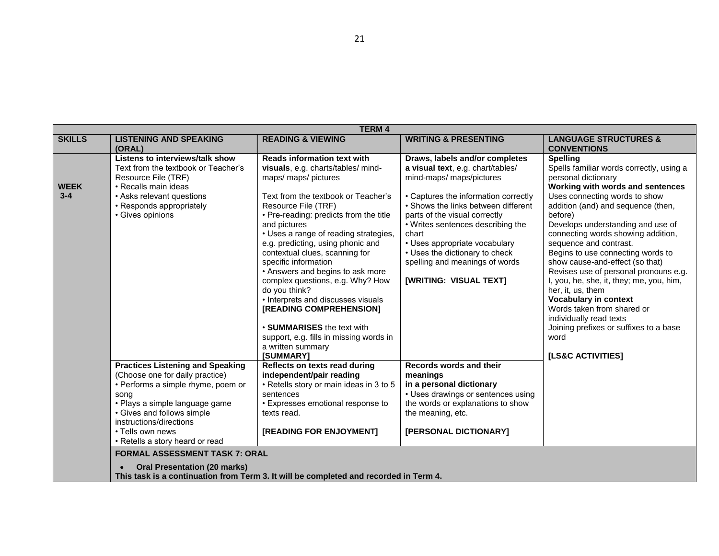|                        | <b>TERM4</b>                                                                                                                                                                                                                                                               |                                                                                                                                                                                                                                                                                                                                                                                                                                                           |                                                                                                                                                                                                                                                                                                                                                                                                    |                                                                                                                                                                                                                                                                                                                                                                                                                                                                                                 |  |
|------------------------|----------------------------------------------------------------------------------------------------------------------------------------------------------------------------------------------------------------------------------------------------------------------------|-----------------------------------------------------------------------------------------------------------------------------------------------------------------------------------------------------------------------------------------------------------------------------------------------------------------------------------------------------------------------------------------------------------------------------------------------------------|----------------------------------------------------------------------------------------------------------------------------------------------------------------------------------------------------------------------------------------------------------------------------------------------------------------------------------------------------------------------------------------------------|-------------------------------------------------------------------------------------------------------------------------------------------------------------------------------------------------------------------------------------------------------------------------------------------------------------------------------------------------------------------------------------------------------------------------------------------------------------------------------------------------|--|
| <b>SKILLS</b>          | <b>LISTENING AND SPEAKING</b><br>(ORAL)                                                                                                                                                                                                                                    | <b>READING &amp; VIEWING</b>                                                                                                                                                                                                                                                                                                                                                                                                                              | <b>WRITING &amp; PRESENTING</b>                                                                                                                                                                                                                                                                                                                                                                    | <b>LANGUAGE STRUCTURES &amp;</b><br><b>CONVENTIONS</b>                                                                                                                                                                                                                                                                                                                                                                                                                                          |  |
| <b>WEEK</b><br>$3 - 4$ | <b>Listens to interviews/talk show</b><br>Text from the textbook or Teacher's<br>Resource File (TRF)<br>• Recalls main ideas<br>• Asks relevant questions<br>• Responds appropriately<br>• Gives opinions                                                                  | <b>Reads information text with</b><br>visuals, e.g. charts/tables/ mind-<br>maps/ maps/ pictures<br>Text from the textbook or Teacher's<br>Resource File (TRF)<br>• Pre-reading: predicts from the title<br>and pictures<br>• Uses a range of reading strategies,<br>e.g. predicting, using phonic and<br>contextual clues, scanning for<br>specific information<br>• Answers and begins to ask more<br>complex questions, e.g. Why? How<br>do you think? | Draws, labels and/or completes<br>a visual text, e.g. chart/tables/<br>mind-maps/maps/pictures<br>• Captures the information correctly<br>• Shows the links between different<br>parts of the visual correctly<br>• Writes sentences describing the<br>chart<br>• Uses appropriate vocabulary<br>• Uses the dictionary to check<br>spelling and meanings of words<br><b>[WRITING: VISUAL TEXT]</b> | <b>Spelling</b><br>Spells familiar words correctly, using a<br>personal dictionary<br>Working with words and sentences<br>Uses connecting words to show<br>addition (and) and sequence (then,<br>before)<br>Develops understanding and use of<br>connecting words showing addition,<br>sequence and contrast.<br>Begins to use connecting words to<br>show cause-and-effect (so that)<br>Revises use of personal pronouns e.g.<br>I, you, he, she, it, they; me, you, him,<br>her, it, us, them |  |
|                        |                                                                                                                                                                                                                                                                            | • Interprets and discusses visuals<br>[READING COMPREHENSION]<br>• SUMMARISES the text with<br>support, e.g. fills in missing words in<br>a written summary<br>[SUMMARY]                                                                                                                                                                                                                                                                                  |                                                                                                                                                                                                                                                                                                                                                                                                    | <b>Vocabulary in context</b><br>Words taken from shared or<br>individually read texts<br>Joining prefixes or suffixes to a base<br>word<br>[LS&C ACTIVITIES]                                                                                                                                                                                                                                                                                                                                    |  |
|                        | <b>Practices Listening and Speaking</b><br>(Choose one for daily practice)<br>• Performs a simple rhyme, poem or<br>song<br>· Plays a simple language game<br>• Gives and follows simple<br>instructions/directions<br>• Tells own news<br>• Retells a story heard or read | Reflects on texts read during<br>independent/pair reading<br>• Retells story or main ideas in 3 to 5<br>sentences<br>• Expresses emotional response to<br>texts read.<br>[READING FOR ENJOYMENT]                                                                                                                                                                                                                                                          | Records words and their<br>meanings<br>in a personal dictionary<br>• Uses drawings or sentences using<br>the words or explanations to show<br>the meaning, etc.<br>[PERSONAL DICTIONARY]                                                                                                                                                                                                           |                                                                                                                                                                                                                                                                                                                                                                                                                                                                                                 |  |
|                        | <b>FORMAL ASSESSMENT TASK 7: ORAL</b><br><b>Oral Presentation (20 marks)</b>                                                                                                                                                                                               | This task is a continuation from Term 3. It will be completed and recorded in Term 4.                                                                                                                                                                                                                                                                                                                                                                     |                                                                                                                                                                                                                                                                                                                                                                                                    |                                                                                                                                                                                                                                                                                                                                                                                                                                                                                                 |  |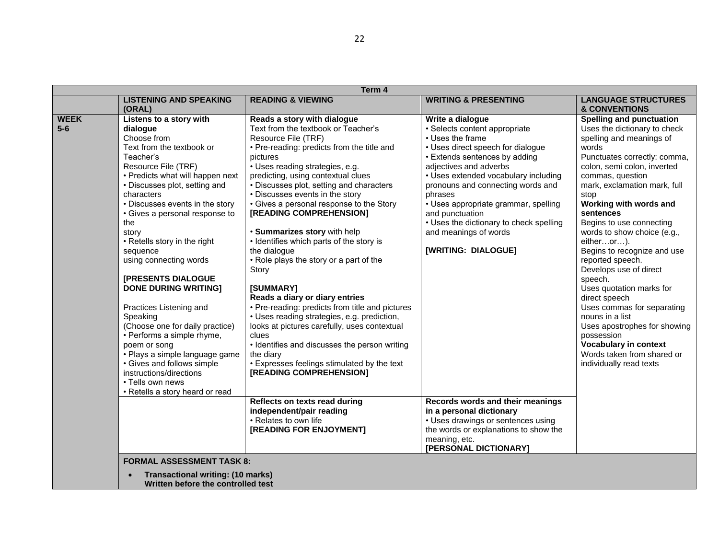|                      | Term 4                                                                                                                                                                                                                                                                                                                                                                                                                                                                                                                                                                                                                                                                                                  |                                                                                                                                                                                                                                                                                                                                                                                                                                                                                                                                                                                                                                                                                                                                                                                                                                                                                      |                                                                                                                                                                                                                                                                                                                                                                                                                     |                                                                                                                                                                                                                                                                                                                                                                                                                                                                                                                                                                                                                                                                              |  |
|----------------------|---------------------------------------------------------------------------------------------------------------------------------------------------------------------------------------------------------------------------------------------------------------------------------------------------------------------------------------------------------------------------------------------------------------------------------------------------------------------------------------------------------------------------------------------------------------------------------------------------------------------------------------------------------------------------------------------------------|--------------------------------------------------------------------------------------------------------------------------------------------------------------------------------------------------------------------------------------------------------------------------------------------------------------------------------------------------------------------------------------------------------------------------------------------------------------------------------------------------------------------------------------------------------------------------------------------------------------------------------------------------------------------------------------------------------------------------------------------------------------------------------------------------------------------------------------------------------------------------------------|---------------------------------------------------------------------------------------------------------------------------------------------------------------------------------------------------------------------------------------------------------------------------------------------------------------------------------------------------------------------------------------------------------------------|------------------------------------------------------------------------------------------------------------------------------------------------------------------------------------------------------------------------------------------------------------------------------------------------------------------------------------------------------------------------------------------------------------------------------------------------------------------------------------------------------------------------------------------------------------------------------------------------------------------------------------------------------------------------------|--|
|                      | <b>LISTENING AND SPEAKING</b><br>(ORAL)                                                                                                                                                                                                                                                                                                                                                                                                                                                                                                                                                                                                                                                                 | <b>READING &amp; VIEWING</b>                                                                                                                                                                                                                                                                                                                                                                                                                                                                                                                                                                                                                                                                                                                                                                                                                                                         | <b>WRITING &amp; PRESENTING</b>                                                                                                                                                                                                                                                                                                                                                                                     | <b>LANGUAGE STRUCTURES</b><br><b>&amp; CONVENTIONS</b>                                                                                                                                                                                                                                                                                                                                                                                                                                                                                                                                                                                                                       |  |
| <b>WEEK</b><br>$5-6$ | Listens to a story with<br>dialogue<br>Choose from<br>Text from the textbook or<br>Teacher's<br>Resource File (TRF)<br>• Predicts what will happen next<br>• Discusses plot, setting and<br>characters<br>• Discusses events in the story<br>• Gives a personal response to<br>the<br>story<br>• Retells story in the right<br>sequence<br>using connecting words<br><b>[PRESENTS DIALOGUE</b><br><b>DONE DURING WRITING]</b><br>Practices Listening and<br>Speaking<br>(Choose one for daily practice)<br>• Performs a simple rhyme,<br>poem or song<br>• Plays a simple language game<br>• Gives and follows simple<br>instructions/directions<br>• Tells own news<br>• Retells a story heard or read | Reads a story with dialogue<br>Text from the textbook or Teacher's<br>Resource File (TRF)<br>• Pre-reading: predicts from the title and<br>pictures<br>• Uses reading strategies, e.g.<br>predicting, using contextual clues<br>· Discusses plot, setting and characters<br>• Discusses events in the story<br>• Gives a personal response to the Story<br>[READING COMPREHENSION]<br>· Summarizes story with help<br>• Identifies which parts of the story is<br>the dialogue<br>• Role plays the story or a part of the<br>Story<br>[SUMMARY]<br>Reads a diary or diary entries<br>• Pre-reading: predicts from title and pictures<br>• Uses reading strategies, e.g. prediction,<br>looks at pictures carefully, uses contextual<br>clues<br>• Identifies and discusses the person writing<br>the diary<br>• Expresses feelings stimulated by the text<br>[READING COMPREHENSION] | Write a dialogue<br>• Selects content appropriate<br>• Uses the frame<br>• Uses direct speech for dialogue<br>• Extends sentences by adding<br>adjectives and adverbs<br>• Uses extended vocabulary including<br>pronouns and connecting words and<br>phrases<br>• Uses appropriate grammar, spelling<br>and punctuation<br>• Uses the dictionary to check spelling<br>and meanings of words<br>[WRITING: DIALOGUE] | <b>Spelling and punctuation</b><br>Uses the dictionary to check<br>spelling and meanings of<br>words<br>Punctuates correctly: comma,<br>colon, semi colon, inverted<br>commas, question<br>mark, exclamation mark, full<br>stop<br>Working with words and<br>sentences<br>Begins to use connecting<br>words to show choice (e.g.,<br>eitheror).<br>Begins to recognize and use<br>reported speech.<br>Develops use of direct<br>speech.<br>Uses quotation marks for<br>direct speech<br>Uses commas for separating<br>nouns in a list<br>Uses apostrophes for showing<br>possession<br><b>Vocabulary in context</b><br>Words taken from shared or<br>individually read texts |  |
|                      |                                                                                                                                                                                                                                                                                                                                                                                                                                                                                                                                                                                                                                                                                                         | Reflects on texts read during<br>independent/pair reading<br>• Relates to own life<br>[READING FOR ENJOYMENT]                                                                                                                                                                                                                                                                                                                                                                                                                                                                                                                                                                                                                                                                                                                                                                        | Records words and their meanings<br>in a personal dictionary<br>• Uses drawings or sentences using<br>the words or explanations to show the<br>meaning, etc.<br>[PERSONAL DICTIONARY]                                                                                                                                                                                                                               |                                                                                                                                                                                                                                                                                                                                                                                                                                                                                                                                                                                                                                                                              |  |
|                      | <b>FORMAL ASSESSMENT TASK 8:</b><br><b>Transactional writing: (10 marks)</b><br>Written before the controlled test                                                                                                                                                                                                                                                                                                                                                                                                                                                                                                                                                                                      |                                                                                                                                                                                                                                                                                                                                                                                                                                                                                                                                                                                                                                                                                                                                                                                                                                                                                      |                                                                                                                                                                                                                                                                                                                                                                                                                     |                                                                                                                                                                                                                                                                                                                                                                                                                                                                                                                                                                                                                                                                              |  |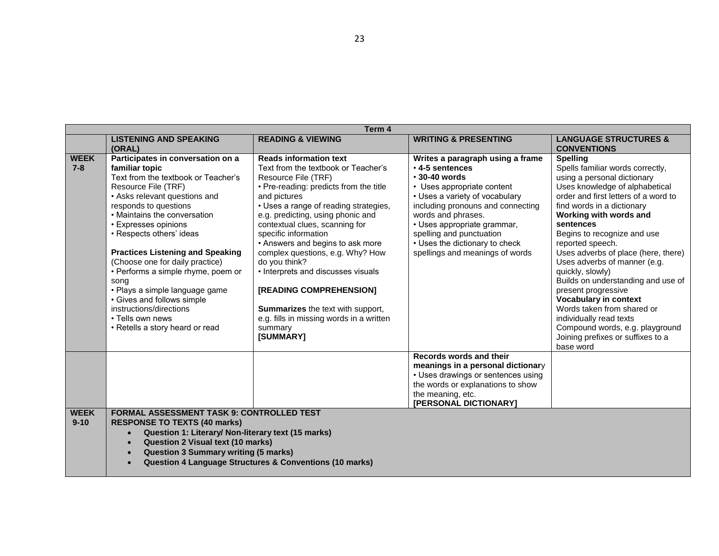| Term 4                  |                                                                                                                                                                                                                                                                                                                                                                                                                                                                                                                                               |                                                                                                                                                                                                                                                                                                                                                                                                                                                                                                                                                                         |                                                                                                                                                                                                                                                                                                                                             |                                                                                                                                                                                                                                                                                                                                                                                                                                                                                                                                                                                                                            |  |  |  |
|-------------------------|-----------------------------------------------------------------------------------------------------------------------------------------------------------------------------------------------------------------------------------------------------------------------------------------------------------------------------------------------------------------------------------------------------------------------------------------------------------------------------------------------------------------------------------------------|-------------------------------------------------------------------------------------------------------------------------------------------------------------------------------------------------------------------------------------------------------------------------------------------------------------------------------------------------------------------------------------------------------------------------------------------------------------------------------------------------------------------------------------------------------------------------|---------------------------------------------------------------------------------------------------------------------------------------------------------------------------------------------------------------------------------------------------------------------------------------------------------------------------------------------|----------------------------------------------------------------------------------------------------------------------------------------------------------------------------------------------------------------------------------------------------------------------------------------------------------------------------------------------------------------------------------------------------------------------------------------------------------------------------------------------------------------------------------------------------------------------------------------------------------------------------|--|--|--|
|                         | <b>LISTENING AND SPEAKING</b><br>(ORAL)                                                                                                                                                                                                                                                                                                                                                                                                                                                                                                       | <b>READING &amp; VIEWING</b>                                                                                                                                                                                                                                                                                                                                                                                                                                                                                                                                            | <b>WRITING &amp; PRESENTING</b>                                                                                                                                                                                                                                                                                                             | <b>LANGUAGE STRUCTURES &amp;</b><br><b>CONVENTIONS</b>                                                                                                                                                                                                                                                                                                                                                                                                                                                                                                                                                                     |  |  |  |
| <b>WEEK</b><br>$7 - 8$  | Participates in conversation on a<br>familiar topic<br>Text from the textbook or Teacher's<br>Resource File (TRF)<br>• Asks relevant questions and<br>responds to questions<br>• Maintains the conversation<br>• Expresses opinions<br>• Respects others' ideas<br><b>Practices Listening and Speaking</b><br>(Choose one for daily practice)<br>• Performs a simple rhyme, poem or<br>song<br>· Plays a simple language game<br>• Gives and follows simple<br>instructions/directions<br>• Tells own news<br>• Retells a story heard or read | <b>Reads information text</b><br>Text from the textbook or Teacher's<br>Resource File (TRF)<br>• Pre-reading: predicts from the title<br>and pictures<br>• Uses a range of reading strategies,<br>e.g. predicting, using phonic and<br>contextual clues, scanning for<br>specific information<br>• Answers and begins to ask more<br>complex questions, e.g. Why? How<br>do you think?<br>• Interprets and discusses visuals<br>[READING COMPREHENSION]<br><b>Summarizes</b> the text with support,<br>e.g. fills in missing words in a written<br>summary<br>[SUMMARY] | Writes a paragraph using a frame<br>$\cdot$ 4-5 sentences<br>$\cdot$ 30-40 words<br>• Uses appropriate content<br>• Uses a variety of vocabulary<br>including pronouns and connecting<br>words and phrases.<br>• Uses appropriate grammar,<br>spelling and punctuation<br>• Uses the dictionary to check<br>spellings and meanings of words | <b>Spelling</b><br>Spells familiar words correctly,<br>using a personal dictionary<br>Uses knowledge of alphabetical<br>order and first letters of a word to<br>find words in a dictionary<br>Working with words and<br>sentences<br>Begins to recognize and use<br>reported speech.<br>Uses adverbs of place (here, there)<br>Uses adverbs of manner (e.g.<br>quickly, slowly)<br>Builds on understanding and use of<br>present progressive<br><b>Vocabulary in context</b><br>Words taken from shared or<br>individually read texts<br>Compound words, e.g. playground<br>Joining prefixes or suffixes to a<br>base word |  |  |  |
| <b>WEEK</b><br>$9 - 10$ | <b>FORMAL ASSESSMENT TASK 9: CONTROLLED TEST</b><br><b>RESPONSE TO TEXTS (40 marks)</b><br>Question 1: Literary/ Non-literary text (15 marks)                                                                                                                                                                                                                                                                                                                                                                                                 |                                                                                                                                                                                                                                                                                                                                                                                                                                                                                                                                                                         | Records words and their<br>meanings in a personal dictionary<br>• Uses drawings or sentences using<br>the words or explanations to show<br>the meaning, etc.<br>[PERSONAL DICTIONARY]                                                                                                                                                       |                                                                                                                                                                                                                                                                                                                                                                                                                                                                                                                                                                                                                            |  |  |  |
|                         | <b>Question 2 Visual text (10 marks)</b><br><b>Question 3 Summary writing (5 marks)</b><br>$\bullet$<br><b>Question 4 Language Structures &amp; Conventions (10 marks)</b>                                                                                                                                                                                                                                                                                                                                                                    |                                                                                                                                                                                                                                                                                                                                                                                                                                                                                                                                                                         |                                                                                                                                                                                                                                                                                                                                             |                                                                                                                                                                                                                                                                                                                                                                                                                                                                                                                                                                                                                            |  |  |  |